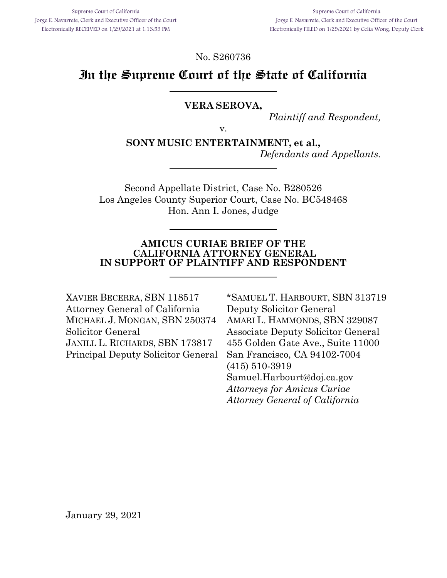No. S260736

# **In the Supreme Court of the State of California**

### **VERA SEROVA,**

*Plaintiff and Respondent,*

v.

**SONY MUSIC ENTERTAINMENT, et al.,**

*Defendants and Appellants.*

Second Appellate District, Case No. B280526 Los Angeles County Superior Court, Case No. BC548468 Hon. Ann I. Jones, Judge

#### **AMICUS CURIAE BRIEF OF THE CALIFORNIA ATTORNEY GENERAL IN SUPPORT OF PLAINTIFF AND RESPONDENT**

XAVIER BECERRA, SBN 118517 Attorney General of California MICHAEL J. MONGAN, SBN 250374 Solicitor General JANILL L. RICHARDS, SBN 173817 Principal Deputy Solicitor General \*SAMUEL T. HARBOURT, SBN 313719 Deputy Solicitor General AMARI L. HAMMONDS, SBN 329087 Associate Deputy Solicitor General 455 Golden Gate Ave., Suite 11000 San Francisco, CA 94102-7004 (415) 510-3919 Samuel.Harbourt@doj.ca.gov *Attorneys for Amicus Curiae Attorney General of California*

January 29, 2021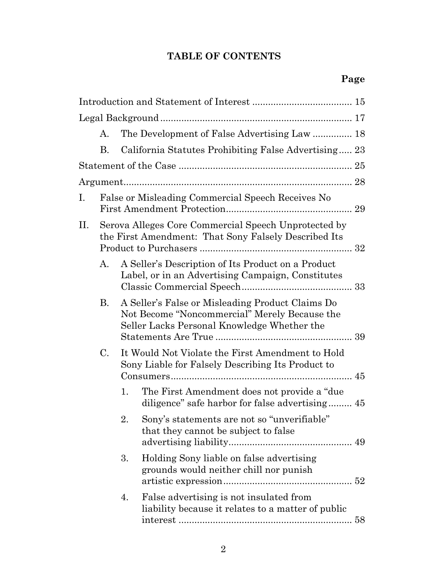## **TABLE OF CONTENTS**

|                                                                                                                    | А. |    | The Development of False Advertising Law  18                                                                                                     |  |
|--------------------------------------------------------------------------------------------------------------------|----|----|--------------------------------------------------------------------------------------------------------------------------------------------------|--|
|                                                                                                                    | В. |    | California Statutes Prohibiting False Advertising 23                                                                                             |  |
|                                                                                                                    |    |    |                                                                                                                                                  |  |
|                                                                                                                    |    |    |                                                                                                                                                  |  |
| Ι.                                                                                                                 |    |    | False or Misleading Commercial Speech Receives No                                                                                                |  |
| Serova Alleges Core Commercial Speech Unprotected by<br>П.<br>the First Amendment: That Sony Falsely Described Its |    |    |                                                                                                                                                  |  |
|                                                                                                                    | А. |    | A Seller's Description of Its Product on a Product<br>Label, or in an Advertising Campaign, Constitutes                                          |  |
|                                                                                                                    | В. |    | A Seller's False or Misleading Product Claims Do<br>Not Become "Noncommercial" Merely Because the<br>Seller Lacks Personal Knowledge Whether the |  |
|                                                                                                                    | C. |    | It Would Not Violate the First Amendment to Hold<br>Sony Liable for Falsely Describing Its Product to                                            |  |
|                                                                                                                    |    | 1. | The First Amendment does not provide a "due"<br>diligence" safe harbor for false advertising 45                                                  |  |
|                                                                                                                    |    | 2. | Sony's statements are not so "unverifiable"<br>that they cannot be subject to false                                                              |  |
|                                                                                                                    |    | 3. | Holding Sony liable on false advertising<br>grounds would neither chill nor punish                                                               |  |
|                                                                                                                    |    | 4. | False advertising is not insulated from<br>liability because it relates to a matter of public                                                    |  |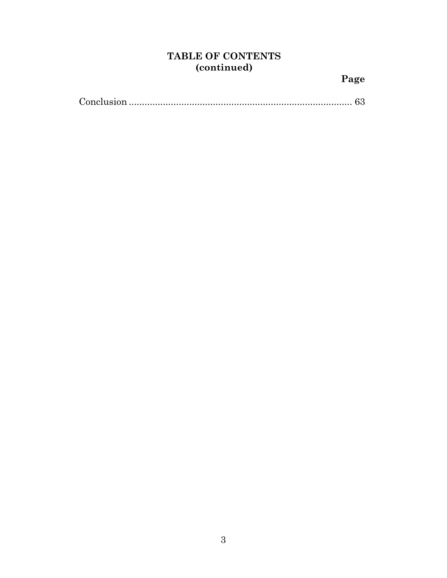## **TABLE OF CONTENTS (continued)**

**Page**

|--|--|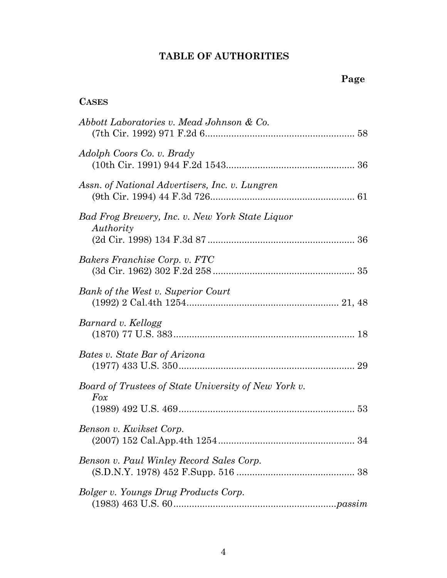## **TABLE OF AUTHORITIES**

### **CASES**

| Abbott Laboratories v. Mead Johnson & Co.                        |    |
|------------------------------------------------------------------|----|
| Adolph Coors Co. v. Brady                                        |    |
| Assn. of National Advertisers, Inc. v. Lungren                   |    |
| Bad Frog Brewery, Inc. v. New York State Liquor<br>Authority     |    |
| Bakers Franchise Corp. v. FTC                                    |    |
| Bank of the West v. Superior Court                               |    |
| Barnard v. Kellogg                                               |    |
| Bates v. State Bar of Arizona                                    |    |
| Board of Trustees of State University of New York v.<br>$F_{OX}$ |    |
| Benson v. Kwikset Corp.                                          |    |
| Benson v. Paul Winley Record Sales Corp.                         | 38 |
| Bolger v. Youngs Drug Products Corp.                             |    |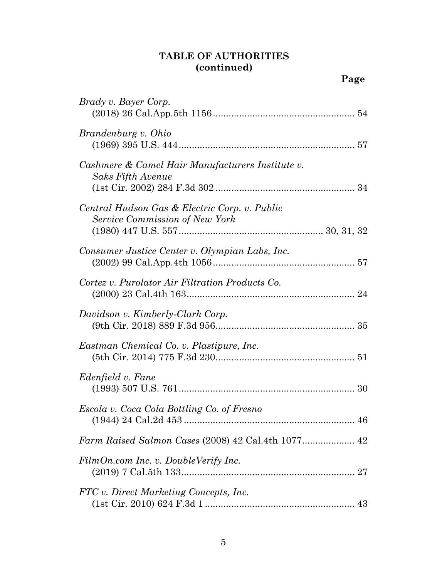| Brady v. Bayer Corp.                                                            |
|---------------------------------------------------------------------------------|
| Brandenburg v. Ohio                                                             |
| Cashmere & Camel Hair Manufacturers Institute v.<br>Saks Fifth Avenue           |
| Central Hudson Gas & Electric Corp. v. Public<br>Service Commission of New York |
| Consumer Justice Center v. Olympian Labs, Inc.                                  |
| Cortez v. Purolator Air Filtration Products Co.                                 |
| Davidson v. Kimberly-Clark Corp.                                                |
| Eastman Chemical Co. v. Plastipure, Inc.                                        |
| Edenfield v. Fane                                                               |
| Escola v. Coca Cola Bottling Co. of Fresno                                      |
|                                                                                 |
| FilmOn.com Inc. v. DoubleVerify Inc.                                            |
| FTC v. Direct Marketing Concepts, Inc.                                          |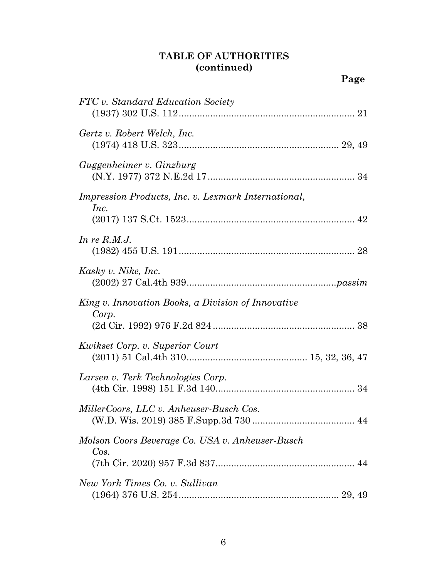| FTC v. Standard Education Society                                  |
|--------------------------------------------------------------------|
| Gertz v. Robert Welch, Inc.                                        |
| Guggenheimer v. Ginzburg                                           |
| <i>Impression Products, Inc. v. Lexmark International,</i><br>Inc. |
| In re $R.M.J.$                                                     |
| Kasky v. Nike, Inc.                                                |
| King v. Innovation Books, a Division of Innovative<br>Corp.        |
| Kwikset Corp. v. Superior Court                                    |
| Larsen v. Terk Technologies Corp.                                  |
| MillerCoors, LLC v. Anheuser-Busch Cos.                            |
| Molson Coors Beverage Co. USA v. Anheuser-Busch<br>Cos.            |
| New York Times Co. v. Sullivan                                     |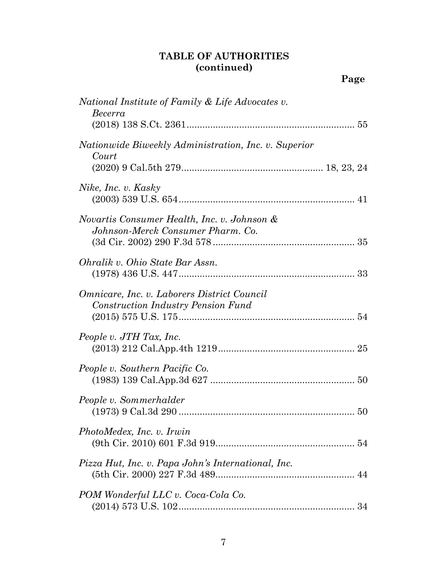| National Institute of Family & Life Advocates v.<br>Becerra                                     |
|-------------------------------------------------------------------------------------------------|
| Nationwide Biweekly Administration, Inc. v. Superior<br>Court                                   |
| Nike, Inc. v. Kasky                                                                             |
| Novartis Consumer Health, Inc. v. Johnson &<br>Johnson-Merck Consumer Pharm. Co.                |
| Ohralik v. Ohio State Bar Assn.                                                                 |
| <i><b>Omnicare, Inc. v. Laborers District Council</b></i><br>Construction Industry Pension Fund |
| People v. JTH Tax, Inc.                                                                         |
| People v. Southern Pacific Co.                                                                  |
| People v. Sommerhalder                                                                          |
| PhotoMedex, Inc. v. Irwin                                                                       |
| Pizza Hut, Inc. v. Papa John's International, Inc.                                              |
| POM Wonderful LLC v. Coca-Cola Co.                                                              |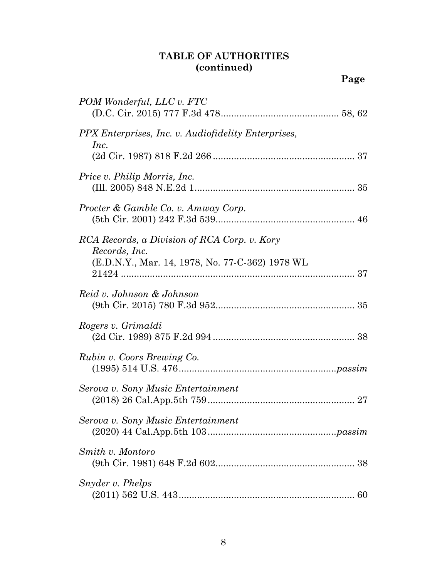| POM Wonderful, LLC v. FTC                                        |
|------------------------------------------------------------------|
|                                                                  |
| PPX Enterprises, Inc. v. Audiofidelity Enterprises,<br>Inc.      |
|                                                                  |
| <i>Price v. Philip Morris, Inc.</i>                              |
| Procter & Gamble Co. v. Amway Corp.                              |
| RCA Records, a Division of RCA Corp. v. Kory                     |
| Records, Inc.<br>(E.D.N.Y., Mar. 14, 1978, No. 77-C-362) 1978 WL |
| Reid v. Johnson & Johnson                                        |
| Rogers v. Grimaldi                                               |
| Rubin v. Coors Brewing Co.                                       |
| Serova v. Sony Music Entertainment                               |
| Serova v. Sony Music Entertainment                               |
| Smith v. Montoro                                                 |
| Snyder v. Phelps<br>60                                           |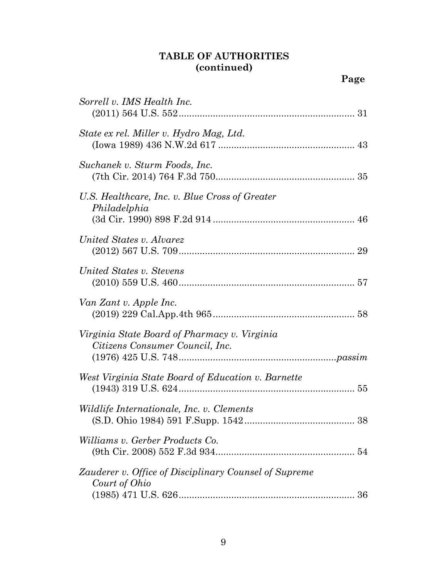| Sorrell v. IMS Health Inc.                                                      |
|---------------------------------------------------------------------------------|
| State ex rel. Miller v. Hydro Mag, Ltd.                                         |
| Suchanek v. Sturm Foods, Inc.                                                   |
| U.S. Healthcare, Inc. v. Blue Cross of Greater<br>Philadelphia                  |
| United States v. Alvarez                                                        |
| United States v. Stevens                                                        |
| Van Zant v. Apple Inc.                                                          |
| Virginia State Board of Pharmacy v. Virginia<br>Citizens Consumer Council, Inc. |
| West Virginia State Board of Education v. Barnette                              |
| Wildlife Internationale, Inc. v. Clements                                       |
| Williams v. Gerber Products Co.                                                 |
| Zauderer v. Office of Disciplinary Counsel of Supreme<br>Court of Ohio<br>36    |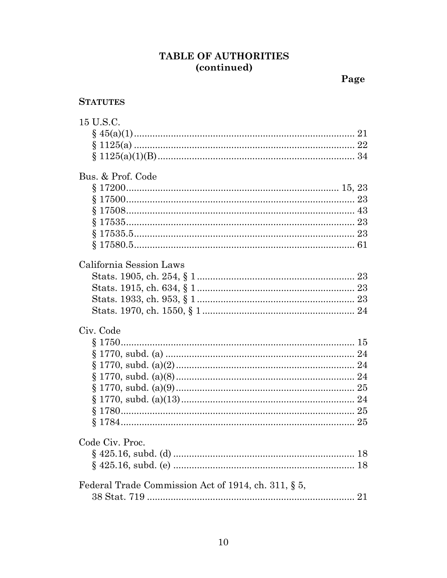| 15 U.S.C.                                           |  |
|-----------------------------------------------------|--|
|                                                     |  |
|                                                     |  |
|                                                     |  |
|                                                     |  |
| Bus. & Prof. Code                                   |  |
|                                                     |  |
|                                                     |  |
|                                                     |  |
|                                                     |  |
| $§ 17535.5 23$                                      |  |
|                                                     |  |
|                                                     |  |
| California Session Laws                             |  |
|                                                     |  |
|                                                     |  |
|                                                     |  |
|                                                     |  |
| Civ. Code                                           |  |
|                                                     |  |
|                                                     |  |
|                                                     |  |
|                                                     |  |
|                                                     |  |
|                                                     |  |
|                                                     |  |
|                                                     |  |
|                                                     |  |
| Code Civ. Proc                                      |  |
|                                                     |  |
|                                                     |  |
|                                                     |  |
| Federal Trade Commission Act of 1914, ch. 311, § 5, |  |
|                                                     |  |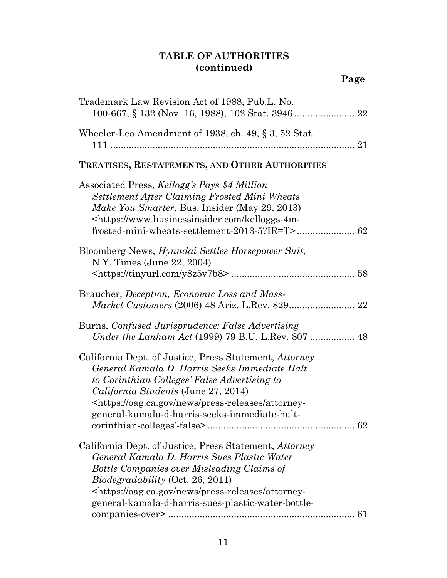| Trademark Law Revision Act of 1988, Pub.L. No.                                                                                                                                                                                                                                                                                  |
|---------------------------------------------------------------------------------------------------------------------------------------------------------------------------------------------------------------------------------------------------------------------------------------------------------------------------------|
| Wheeler-Lea Amendment of 1938, ch. 49, $\S 3$ , 52 Stat.                                                                                                                                                                                                                                                                        |
| TREATISES, RESTATEMENTS, AND OTHER AUTHORITIES                                                                                                                                                                                                                                                                                  |
| Associated Press, Kellogg's Pays \$4 Million<br>Settlement After Claiming Frosted Mini Wheats<br>Make You Smarter, Bus. Insider (May 29, 2013)<br><https: kelloggs-4m-<="" td="" www.businessinsider.com=""></https:>                                                                                                           |
| Bloomberg News, <i>Hyundai Settles Horsepower Suit</i> ,<br>N.Y. Times (June 22, 2004)                                                                                                                                                                                                                                          |
| Braucher, <i>Deception</i> , <i>Economic Loss and Mass-</i>                                                                                                                                                                                                                                                                     |
| Burns, Confused Jurisprudence: False Advertising                                                                                                                                                                                                                                                                                |
| California Dept. of Justice, Press Statement, Attorney<br>General Kamala D. Harris Seeks Immediate Halt<br>to Corinthian Colleges' False Advertising to<br><i>California Students</i> (June 27, 2014)<br><https: attorney-<br="" news="" oag.ca.gov="" press-releases="">general-kamala-d-harris-seeks-immediate-halt-</https:> |
| California Dept. of Justice, Press Statement, Attorney<br>General Kamala D. Harris Sues Plastic Water<br>Bottle Companies over Misleading Claims of<br><i>Biodegradability</i> (Oct. 26, 2011)<br><https: attorney-<br="" news="" oag.ca.gov="" press-releases="">general-kamala-d-harris-sues-plastic-water-bottle-</https:>   |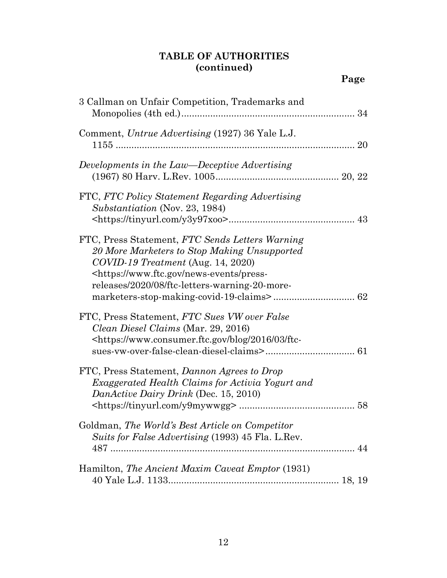| 3 Callman on Unfair Competition, Trademarks and                                                                                                                                                                                                    |
|----------------------------------------------------------------------------------------------------------------------------------------------------------------------------------------------------------------------------------------------------|
| Comment, Untrue Advertising (1927) 36 Yale L.J.                                                                                                                                                                                                    |
| Developments in the Law—Deceptive Advertising                                                                                                                                                                                                      |
| FTC, FTC Policy Statement Regarding Advertising<br>Substantiation (Nov. 23, 1984)<br>$\text{thttps://tinyyurl.com/y3y97xoo}$                                                                                                                       |
| FTC, Press Statement, FTC Sends Letters Warning<br>20 More Marketers to Stop Making Unsupported<br>COVID-19 Treatment (Aug. 14, 2020)<br><https: news-events="" press-<br="" www.ftc.gov="">releases/2020/08/ftc-letters-warning-20-more-</https:> |
| FTC, Press Statement, FTC Sues VW over False<br>Clean Diesel Claims (Mar. 29, 2016)<br><https: 03="" 2016="" blog="" ftc-<="" td="" www.consumer.ftc.gov=""></https:>                                                                              |
| FTC, Press Statement, Dannon Agrees to Drop<br>Exaggerated Health Claims for Activia Yogurt and<br>DanActive Dairy Drink (Dec. 15, 2010)                                                                                                           |
| Goldman, The World's Best Article on Competitor<br>Suits for False Advertising (1993) 45 Fla. L.Rev.                                                                                                                                               |
| Hamilton, The Ancient Maxim Caveat Emptor (1931)                                                                                                                                                                                                   |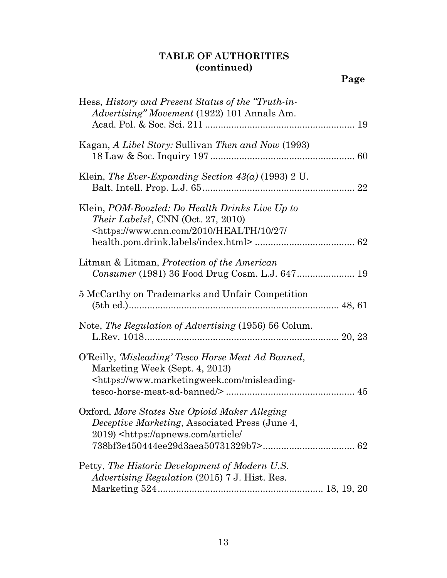| Hess, History and Present Status of the "Truth-in-<br>Advertising" Movement (1922) 101 Annals Am.                                                                         |
|---------------------------------------------------------------------------------------------------------------------------------------------------------------------------|
| Kagan, A Libel Story: Sullivan Then and Now (1993)                                                                                                                        |
| Klein, The Ever-Expanding Section $43(a)$ (1993) 2 U.                                                                                                                     |
| Klein, POM-Boozled: Do Health Drinks Live Up to<br><i>Their Labels?, CNN (Oct. 27, 2010)</i><br><https: 10="" 2010="" 27="" <="" health="" td="" www.cnn.com=""></https:> |
| Litman & Litman, Protection of the American                                                                                                                               |
| 5 McCarthy on Trademarks and Unfair Competition                                                                                                                           |
| Note, The Regulation of Advertising (1956) 56 Colum.                                                                                                                      |
| O'Reilly, 'Misleading' Tesco Horse Meat Ad Banned,<br>Marketing Week (Sept. 4, 2013)<br><https: misleading-<="" td="" www.marketingweek.com=""></https:>                  |
| Oxford, More States Sue Opioid Maker Alleging<br><i>Deceptive Marketing</i> , Associated Press (June 4,<br>2019) <https: <="" apnews.com="" article="" td=""></https:>    |
| Petty, The Historic Development of Modern U.S.<br><i>Advertising Regulation (2015)</i> 7 J. Hist. Res.                                                                    |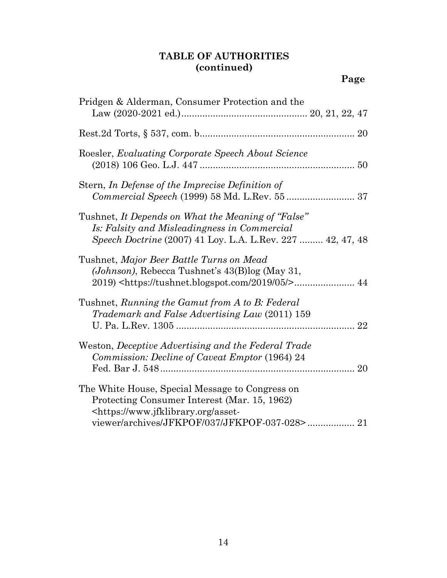| Pridgen & Alderman, Consumer Protection and the                                                                                                                                       |
|---------------------------------------------------------------------------------------------------------------------------------------------------------------------------------------|
|                                                                                                                                                                                       |
| Roesler, Evaluating Corporate Speech About Science                                                                                                                                    |
| Stern, In Defense of the Imprecise Definition of                                                                                                                                      |
| Tushnet, It Depends on What the Meaning of "False"<br>Is: Falsity and Misleadingness in Commercial<br>Speech Doctrine (2007) 41 Loy. L.A. L.Rev. 227  42, 47, 48                      |
| Tushnet, Major Beer Battle Turns on Mead<br>( <i>Johnson</i> ), Rebecca Tushnet's 43(B)log (May 31,                                                                                   |
| Tushnet, Running the Gamut from A to B: Federal<br>Trademark and False Advertising Law (2011) 159                                                                                     |
| Weston, Deceptive Advertising and the Federal Trade<br>Commission: Decline of Caveat Emptor (1964) 24<br>20                                                                           |
| The White House, Special Message to Congress on<br>Protecting Consumer Interest (Mar. 15, 1962)<br>https://www.jfklibrary.org/asset-<br>viewer/archives/JFKPOF/037/JFKPOF-037-028> 21 |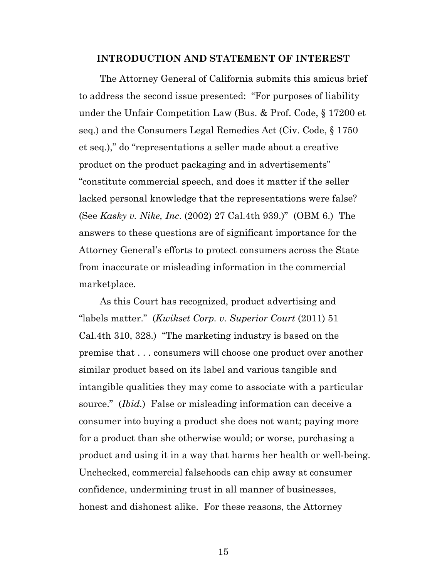#### **INTRODUCTION AND STATEMENT OF INTEREST**

The Attorney General of California submits this amicus brief to address the second issue presented: "For purposes of liability under the Unfair Competition Law (Bus. & Prof. Code, § 17200 et seq.) and the Consumers Legal Remedies Act (Civ. Code, § 1750 et seq.)," do "representations a seller made about a creative product on the product packaging and in advertisements" "constitute commercial speech, and does it matter if the seller lacked personal knowledge that the representations were false? (See *Kasky v. Nike, Inc*. (2002) 27 Cal.4th 939.)" (OBM 6.) The answers to these questions are of significant importance for the Attorney General's efforts to protect consumers across the State from inaccurate or misleading information in the commercial marketplace.

As this Court has recognized, product advertising and "labels matter." (*Kwikset Corp. v. Superior Court* (2011) 51 Cal.4th 310, 328.) "The marketing industry is based on the premise that . . . consumers will choose one product over another similar product based on its label and various tangible and intangible qualities they may come to associate with a particular source." (*Ibid.*) False or misleading information can deceive a consumer into buying a product she does not want; paying more for a product than she otherwise would; or worse, purchasing a product and using it in a way that harms her health or well-being. Unchecked, commercial falsehoods can chip away at consumer confidence, undermining trust in all manner of businesses, honest and dishonest alike. For these reasons, the Attorney

15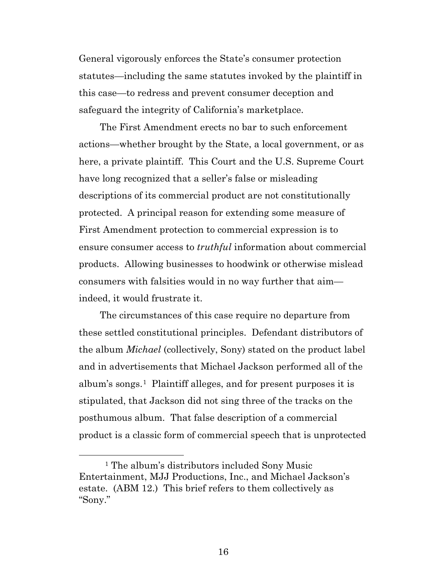General vigorously enforces the State's consumer protection statutes—including the same statutes invoked by the plaintiff in this case—to redress and prevent consumer deception and safeguard the integrity of California's marketplace.

The First Amendment erects no bar to such enforcement actions—whether brought by the State, a local government, or as here, a private plaintiff. This Court and the U.S. Supreme Court have long recognized that a seller's false or misleading descriptions of its commercial product are not constitutionally protected. A principal reason for extending some measure of First Amendment protection to commercial expression is to ensure consumer access to *truthful* information about commercial products. Allowing businesses to hoodwink or otherwise mislead consumers with falsities would in no way further that aim indeed, it would frustrate it.

The circumstances of this case require no departure from these settled constitutional principles. Defendant distributors of the album *Michael* (collectively, Sony) stated on the product label and in advertisements that Michael Jackson performed all of the album's songs.[1](#page-15-0) Plaintiff alleges, and for present purposes it is stipulated, that Jackson did not sing three of the tracks on the posthumous album. That false description of a commercial product is a classic form of commercial speech that is unprotected

<span id="page-15-0"></span> <sup>1</sup> The album's distributors included Sony Music Entertainment, MJJ Productions, Inc., and Michael Jackson's estate. (ABM 12.) This brief refers to them collectively as "Sony."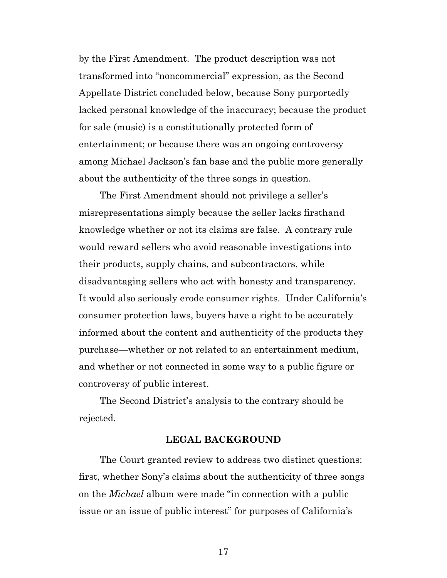by the First Amendment. The product description was not transformed into "noncommercial" expression, as the Second Appellate District concluded below, because Sony purportedly lacked personal knowledge of the inaccuracy; because the product for sale (music) is a constitutionally protected form of entertainment; or because there was an ongoing controversy among Michael Jackson's fan base and the public more generally about the authenticity of the three songs in question.

The First Amendment should not privilege a seller's misrepresentations simply because the seller lacks firsthand knowledge whether or not its claims are false. A contrary rule would reward sellers who avoid reasonable investigations into their products, supply chains, and subcontractors, while disadvantaging sellers who act with honesty and transparency. It would also seriously erode consumer rights. Under California's consumer protection laws, buyers have a right to be accurately informed about the content and authenticity of the products they purchase—whether or not related to an entertainment medium, and whether or not connected in some way to a public figure or controversy of public interest.

The Second District's analysis to the contrary should be rejected.

#### **LEGAL BACKGROUND**

The Court granted review to address two distinct questions: first, whether Sony's claims about the authenticity of three songs on the *Michael* album were made "in connection with a public issue or an issue of public interest" for purposes of California's

17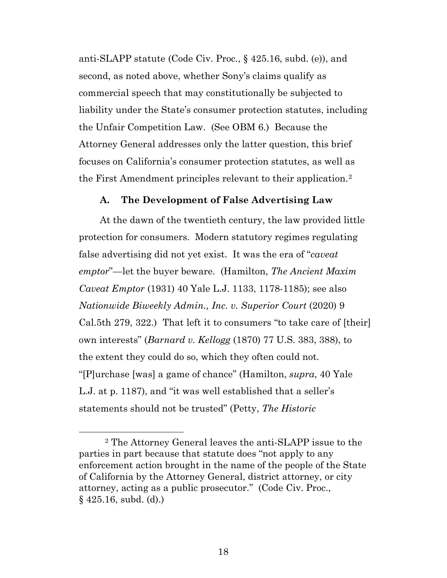anti-SLAPP statute (Code Civ. Proc., § 425.16, subd. (e)), and second, as noted above, whether Sony's claims qualify as commercial speech that may constitutionally be subjected to liability under the State's consumer protection statutes, including the Unfair Competition Law. (See OBM 6.) Because the Attorney General addresses only the latter question, this brief focuses on California's consumer protection statutes, as well as the First Amendment principles relevant to their application.<sup>[2](#page-17-0)</sup>

#### **A. The Development of False Advertising Law**

At the dawn of the twentieth century, the law provided little protection for consumers. Modern statutory regimes regulating false advertising did not yet exist. It was the era of "*caveat emptor*"—let the buyer beware. (Hamilton, *The Ancient Maxim Caveat Emptor* (1931) 40 Yale L.J. 1133, 1178-1185); see also *Nationwide Biweekly Admin., Inc. v. Superior Court* (2020) 9 Cal.5th 279, 322.) That left it to consumers "to take care of [their] own interests" (*Barnard v. Kellogg* (1870) 77 U.S. 383, 388), to the extent they could do so, which they often could not. "[P]urchase [was] a game of chance" (Hamilton, *supra*, 40 Yale L.J. at p. 1187), and "it was well established that a seller's statements should not be trusted" (Petty, *The Historic* 

<span id="page-17-0"></span> <sup>2</sup> The Attorney General leaves the anti-SLAPP issue to the parties in part because that statute does "not apply to any enforcement action brought in the name of the people of the State of California by the Attorney General, district attorney, or city attorney, acting as a public prosecutor." (Code Civ. Proc.,  $§$  425.16, subd. (d).)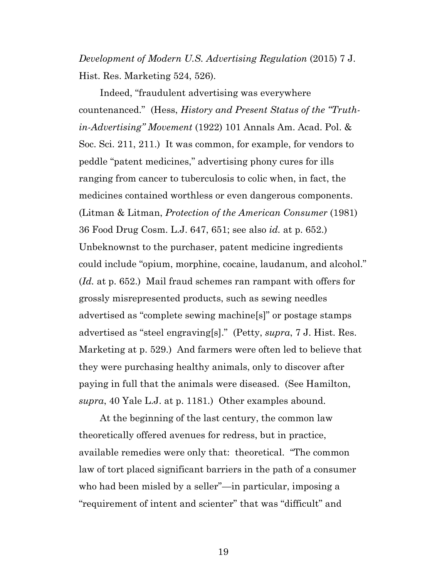*Development of Modern U.S. Advertising Regulation* (2015) 7 J. Hist. Res. Marketing 524, 526).

Indeed, "fraudulent advertising was everywhere countenanced." (Hess, *History and Present Status of the "Truthin-Advertising" Movement* (1922) 101 Annals Am. Acad. Pol. & Soc. Sci. 211, 211.) It was common, for example, for vendors to peddle "patent medicines," advertising phony cures for ills ranging from cancer to tuberculosis to colic when, in fact, the medicines contained worthless or even dangerous components. (Litman & Litman, *Protection of the American Consumer* (1981) 36 Food Drug Cosm. L.J. 647, 651; see also *id.* at p. 652.) Unbeknownst to the purchaser, patent medicine ingredients could include "opium, morphine, cocaine, laudanum, and alcohol." (*Id.* at p. 652.) Mail fraud schemes ran rampant with offers for grossly misrepresented products, such as sewing needles advertised as "complete sewing machine[s]" or postage stamps advertised as "steel engraving[s]." (Petty, *supra*, 7 J. Hist. Res. Marketing at p. 529.) And farmers were often led to believe that they were purchasing healthy animals, only to discover after paying in full that the animals were diseased. (See Hamilton, *supra*, 40 Yale L.J. at p. 1181.) Other examples abound.

At the beginning of the last century, the common law theoretically offered avenues for redress, but in practice, available remedies were only that: theoretical. "The common law of tort placed significant barriers in the path of a consumer who had been misled by a seller"—in particular, imposing a "requirement of intent and scienter" that was "difficult" and

19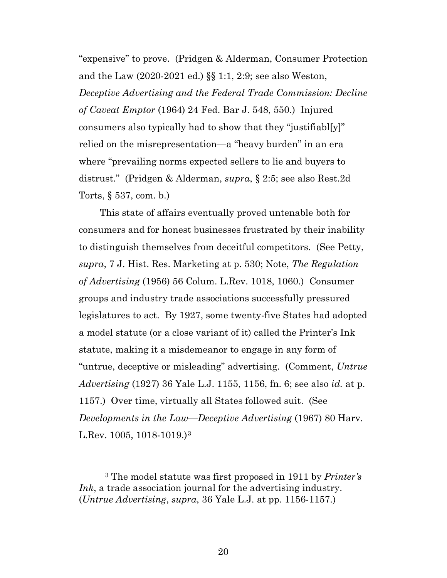"expensive" to prove. (Pridgen & Alderman, Consumer Protection and the Law (2020-2021 ed.) §§ 1:1, 2:9; see also Weston, *Deceptive Advertising and the Federal Trade Commission: Decline of Caveat Emptor* (1964) 24 Fed. Bar J. 548, 550.) Injured consumers also typically had to show that they "justifiabl[y]" relied on the misrepresentation—a "heavy burden" in an era where "prevailing norms expected sellers to lie and buyers to distrust." (Pridgen & Alderman, *supra*, § 2:5; see also Rest.2d Torts, § 537, com. b.)

This state of affairs eventually proved untenable both for consumers and for honest businesses frustrated by their inability to distinguish themselves from deceitful competitors. (See Petty, *supra*, 7 J. Hist. Res. Marketing at p. 530; Note, *The Regulation of Advertising* (1956) 56 Colum. L.Rev. 1018, 1060.) Consumer groups and industry trade associations successfully pressured legislatures to act. By 1927, some twenty-five States had adopted a model statute (or a close variant of it) called the Printer's Ink statute, making it a misdemeanor to engage in any form of "untrue, deceptive or misleading" advertising. (Comment, *Untrue Advertising* (1927) 36 Yale L.J. 1155, 1156, fn. 6; see also *id.* at p. 1157.) Over time, virtually all States followed suit. (See *Developments in the Law—Deceptive Advertising* (1967) 80 Harv. L.Rev. 1005, 1018-1019.)[3](#page-19-0)

<span id="page-19-0"></span> <sup>3</sup> The model statute was first proposed in 1911 by *Printer's Ink*, a trade association journal for the advertising industry. (*Untrue Advertising*, *supra*, 36 Yale L.J. at pp. 1156-1157.)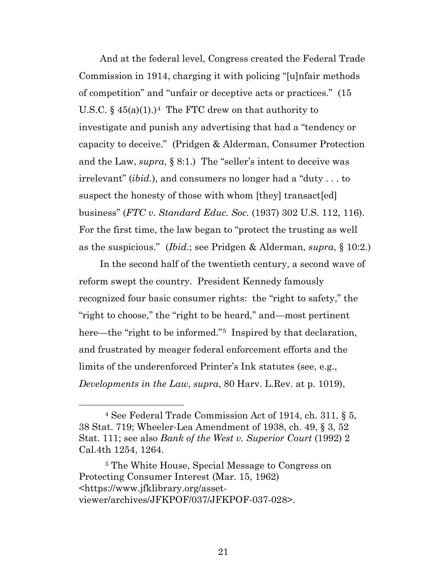And at the federal level, Congress created the Federal Trade Commission in 1914, charging it with policing "[u]nfair methods of competition" and "unfair or deceptive acts or practices." (15 U.S.C. §  $45(a)(1)$  $45(a)(1)$ . The FTC drew on that authority to investigate and punish any advertising that had a "tendency or capacity to deceive." (Pridgen & Alderman, Consumer Protection and the Law, *supra*, § 8:1.) The "seller's intent to deceive was irrelevant" (*ibid.*), and consumers no longer had a "duty . . . to suspect the honesty of those with whom [they] transact[ed] business" (*FTC v. Standard Educ. Soc.* (1937) 302 U.S. 112, 116). For the first time, the law began to "protect the trusting as well as the suspicious." (*Ibid.*; see Pridgen & Alderman, *supra*, § 10:2.)

In the second half of the twentieth century, a second wave of reform swept the country. President Kennedy famously recognized four basic consumer rights: the "right to safety," the "right to choose," the "right to be heard," and—most pertinent here—the "right to be informed."<sup>5</sup> Inspired by that declaration, and frustrated by meager federal enforcement efforts and the limits of the underenforced Printer's Ink statutes (see, e.g., *Developments in the Law*, *supra*, 80 Harv. L.Rev. at p. 1019),

<span id="page-20-0"></span> <sup>4</sup> See Federal Trade Commission Act of 1914, ch. 311, § 5, 38 Stat. 719; Wheeler-Lea Amendment of 1938, ch. 49, § 3, 52 Stat. 111; see also *Bank of the West v. Superior Court* (1992) 2 Cal.4th 1254, 1264.

<span id="page-20-1"></span><sup>5</sup> The White House, Special Message to Congress on Protecting Consumer Interest (Mar. 15, 1962) <https://www.jfklibrary.org/assetviewer/archives/JFKPOF/037/JFKPOF-037-028>.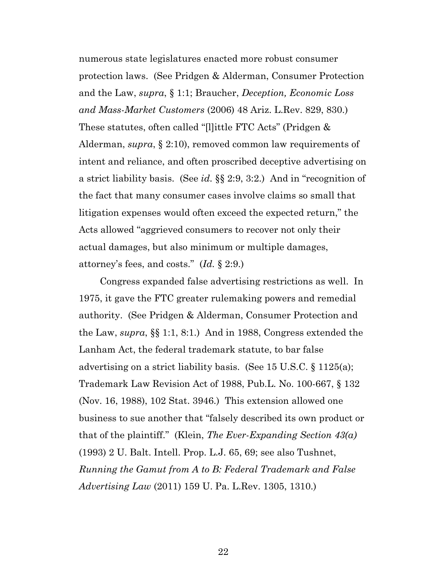numerous state legislatures enacted more robust consumer protection laws. (See Pridgen & Alderman, Consumer Protection and the Law, *supra*, § 1:1; Braucher, *Deception, Economic Loss and Mass-Market Customers* (2006) 48 Ariz. L.Rev. 829, 830.) These statutes, often called "[l]ittle FTC Acts" (Pridgen & Alderman, *supra*, § 2:10), removed common law requirements of intent and reliance, and often proscribed deceptive advertising on a strict liability basis. (See *id.* §§ 2:9, 3:2.) And in "recognition of the fact that many consumer cases involve claims so small that litigation expenses would often exceed the expected return," the Acts allowed "aggrieved consumers to recover not only their actual damages, but also minimum or multiple damages, attorney's fees, and costs." (*Id.* § 2:9.)

Congress expanded false advertising restrictions as well. In 1975, it gave the FTC greater rulemaking powers and remedial authority. (See Pridgen & Alderman, Consumer Protection and the Law, *supra*, §§ 1:1, 8:1.) And in 1988, Congress extended the Lanham Act, the federal trademark statute, to bar false advertising on a strict liability basis. (See 15 U.S.C. § 1125(a); Trademark Law Revision Act of 1988, Pub.L. No. 100-667, § 132 (Nov. 16, 1988), 102 Stat. 3946.) This extension allowed one business to sue another that "falsely described its own product or that of the plaintiff." (Klein, *The Ever-Expanding Section 43(a)*  (1993) 2 U. Balt. Intell. Prop. L.J. 65, 69; see also Tushnet, *Running the Gamut from A to B: Federal Trademark and False Advertising Law* (2011) 159 U. Pa. L.Rev. 1305, 1310.)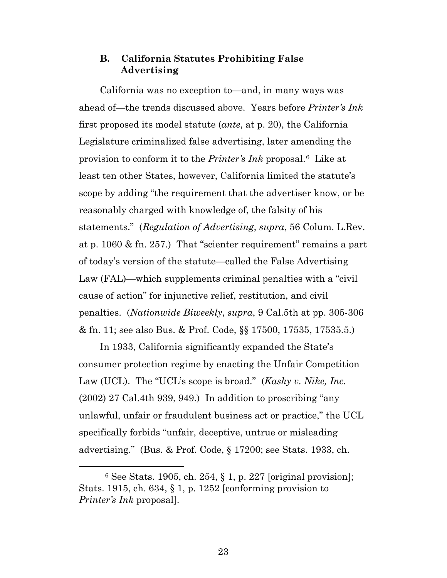### **B. California Statutes Prohibiting False Advertising**

California was no exception to—and, in many ways was ahead of—the trends discussed above. Years before *Printer's Ink* first proposed its model statute (*ante*, at p. 20), the California Legislature criminalized false advertising, later amending the provision to conform it to the *Printer's Ink* proposal.[6](#page-22-0) Like at least ten other States, however, California limited the statute's scope by adding "the requirement that the advertiser know, or be reasonably charged with knowledge of, the falsity of his statements." (*Regulation of Advertising*, *supra*, 56 Colum. L.Rev. at p. 1060 & fn. 257.) That "scienter requirement" remains a part of today's version of the statute—called the False Advertising Law (FAL)—which supplements criminal penalties with a "civil cause of action" for injunctive relief, restitution, and civil penalties. (*Nationwide Biweekly*, *supra*, 9 Cal.5th at pp. 305-306 & fn. 11; see also Bus. & Prof. Code, §§ 17500, 17535, 17535.5.)

In 1933, California significantly expanded the State's consumer protection regime by enacting the Unfair Competition Law (UCL). The "UCL's scope is broad." (*Kasky v. Nike, Inc.* (2002) 27 Cal.4th 939, 949.) In addition to proscribing "any unlawful, unfair or fraudulent business act or practice," the UCL specifically forbids "unfair, deceptive, untrue or misleading advertising." (Bus. & Prof. Code, § 17200; see Stats. 1933, ch.

<span id="page-22-0"></span> $6$  See Stats. 1905, ch. 254, § 1, p. 227 [original provision]; Stats. 1915, ch. 634, § 1, p. 1252 [conforming provision to *Printer's Ink* proposal].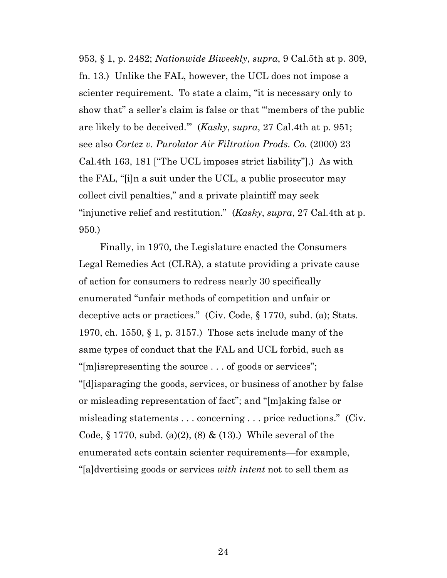953, § 1, p. 2482; *Nationwide Biweekly*, *supra*, 9 Cal.5th at p. 309, fn. 13.) Unlike the FAL, however, the UCL does not impose a scienter requirement. To state a claim, "it is necessary only to show that" a seller's claim is false or that "'members of the public are likely to be deceived.'" (*Kasky*, *supra*, 27 Cal.4th at p. 951; see also *Cortez v. Purolator Air Filtration Prods. Co.* (2000) 23 Cal.4th 163, 181 ["The UCL imposes strict liability"].) As with the FAL, "[i]n a suit under the UCL, a public prosecutor may collect civil penalties," and a private plaintiff may seek "injunctive relief and restitution." (*Kasky*, *supra*, 27 Cal.4th at p. 950.)

Finally, in 1970, the Legislature enacted the Consumers Legal Remedies Act (CLRA), a statute providing a private cause of action for consumers to redress nearly 30 specifically enumerated "unfair methods of competition and unfair or deceptive acts or practices." (Civ. Code, § 1770, subd. (a); Stats. 1970, ch. 1550, § 1, p. 3157.) Those acts include many of the same types of conduct that the FAL and UCL forbid, such as "[m]isrepresenting the source . . . of goods or services"; "[d]isparaging the goods, services, or business of another by false or misleading representation of fact"; and "[m]aking false or misleading statements . . . concerning . . . price reductions." (Civ. Code,  $\S 1770$ , subd. (a)(2), (8) & (13).) While several of the enumerated acts contain scienter requirements—for example, "[a]dvertising goods or services *with intent* not to sell them as

24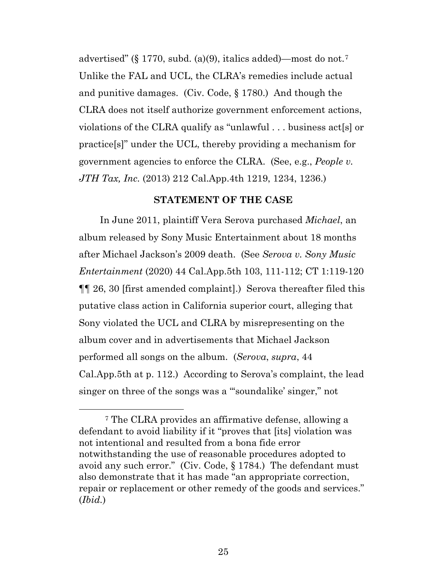advertised" (§ 1770, subd. (a)(9), italics added)—most do not.[7](#page-24-0) Unlike the FAL and UCL, the CLRA's remedies include actual and punitive damages. (Civ. Code, § 1780.) And though the CLRA does not itself authorize government enforcement actions, violations of the CLRA qualify as "unlawful . . . business act[s] or practice[s]" under the UCL, thereby providing a mechanism for government agencies to enforce the CLRA. (See, e.g., *People v. JTH Tax, Inc.* (2013) 212 Cal.App.4th 1219, 1234, 1236.)

#### **STATEMENT OF THE CASE**

In June 2011, plaintiff Vera Serova purchased *Michael*, an album released by Sony Music Entertainment about 18 months after Michael Jackson's 2009 death. (See *Serova v. Sony Music Entertainment* (2020) 44 Cal.App.5th 103, 111-112; CT 1:119-120 ¶¶ 26, 30 [first amended complaint].) Serova thereafter filed this putative class action in California superior court, alleging that Sony violated the UCL and CLRA by misrepresenting on the album cover and in advertisements that Michael Jackson performed all songs on the album. (*Serova*, *supra*, 44 Cal.App.5th at p. 112.) According to Serova's complaint, the lead singer on three of the songs was a "'soundalike' singer," not

<span id="page-24-0"></span> <sup>7</sup> The CLRA provides an affirmative defense, allowing a defendant to avoid liability if it "proves that [its] violation was not intentional and resulted from a bona fide error notwithstanding the use of reasonable procedures adopted to avoid any such error." (Civ. Code, § 1784.) The defendant must also demonstrate that it has made "an appropriate correction, repair or replacement or other remedy of the goods and services." (*Ibid.*)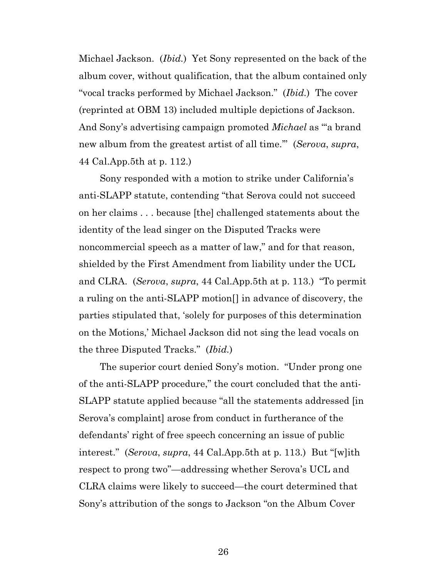Michael Jackson. (*Ibid.*) Yet Sony represented on the back of the album cover, without qualification, that the album contained only "vocal tracks performed by Michael Jackson." (*Ibid.*) The cover (reprinted at OBM 13) included multiple depictions of Jackson. And Sony's advertising campaign promoted *Michael* as "'a brand new album from the greatest artist of all time.'" (*Serova*, *supra*, 44 Cal.App.5th at p. 112.)

Sony responded with a motion to strike under California's anti-SLAPP statute, contending "that Serova could not succeed on her claims . . . because [the] challenged statements about the identity of the lead singer on the Disputed Tracks were noncommercial speech as a matter of law," and for that reason, shielded by the First Amendment from liability under the UCL and CLRA. (*Serova*, *supra*, 44 Cal.App.5th at p. 113.) "To permit a ruling on the anti-SLAPP motion[] in advance of discovery, the parties stipulated that, 'solely for purposes of this determination on the Motions,' Michael Jackson did not sing the lead vocals on the three Disputed Tracks." (*Ibid.*)

The superior court denied Sony's motion. "Under prong one of the anti-SLAPP procedure," the court concluded that the anti-SLAPP statute applied because "all the statements addressed [in Serova's complaint] arose from conduct in furtherance of the defendants' right of free speech concerning an issue of public interest." (*Serova*, *supra*, 44 Cal.App.5th at p. 113.) But "[w]ith respect to prong two"—addressing whether Serova's UCL and CLRA claims were likely to succeed—the court determined that Sony's attribution of the songs to Jackson "on the Album Cover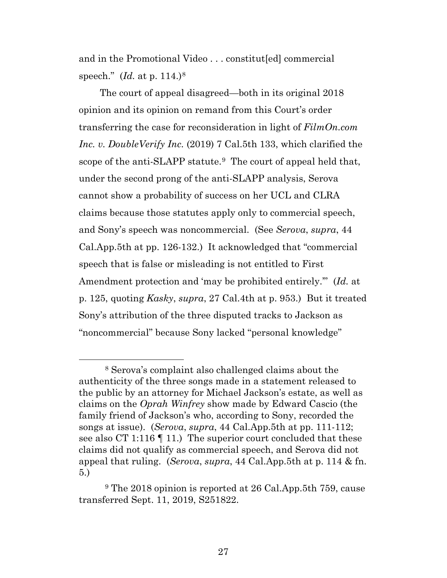and in the Promotional Video . . . constitut[ed] commercial speech." (*Id.* at p. 114.)[8](#page-26-0)

The court of appeal disagreed—both in its original 2018 opinion and its opinion on remand from this Court's order transferring the case for reconsideration in light of *FilmOn.com Inc. v. DoubleVerify Inc.* (2019) 7 Cal.5th 133, which clarified the scope of the anti-SLAPP statute.<sup>9</sup> The court of appeal held that, under the second prong of the anti-SLAPP analysis, Serova cannot show a probability of success on her UCL and CLRA claims because those statutes apply only to commercial speech, and Sony's speech was noncommercial. (See *Serova*, *supra*, 44 Cal.App.5th at pp. 126-132.) It acknowledged that "commercial speech that is false or misleading is not entitled to First Amendment protection and 'may be prohibited entirely.'" (*Id.* at p. 125, quoting *Kasky*, *supra*, 27 Cal.4th at p. 953.) But it treated Sony's attribution of the three disputed tracks to Jackson as "noncommercial" because Sony lacked "personal knowledge"

<span id="page-26-0"></span> <sup>8</sup> Serova's complaint also challenged claims about the authenticity of the three songs made in a statement released to the public by an attorney for Michael Jackson's estate, as well as claims on the *Oprah Winfrey* show made by Edward Cascio (the family friend of Jackson's who, according to Sony, recorded the songs at issue). (*Serova*, *supra*, 44 Cal.App.5th at pp. 111-112; see also CT 1:116 ¶ 11.) The superior court concluded that these claims did not qualify as commercial speech, and Serova did not appeal that ruling. (*Serova*, *supra*, 44 Cal.App.5th at p. 114 & fn. 5.)

<span id="page-26-1"></span><sup>9</sup> The 2018 opinion is reported at 26 Cal.App.5th 759, cause transferred Sept. 11, 2019, S251822.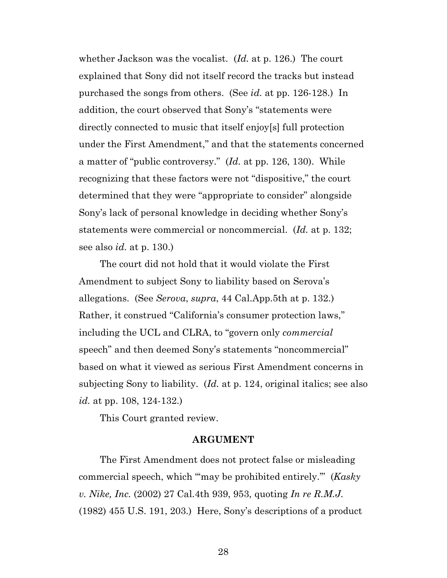whether Jackson was the vocalist. (*Id.* at p. 126.) The court explained that Sony did not itself record the tracks but instead purchased the songs from others. (See *id.* at pp. 126-128.) In addition, the court observed that Sony's "statements were directly connected to music that itself enjoy[s] full protection under the First Amendment," and that the statements concerned a matter of "public controversy." (*Id.* at pp. 126, 130). While recognizing that these factors were not "dispositive," the court determined that they were "appropriate to consider" alongside Sony's lack of personal knowledge in deciding whether Sony's statements were commercial or noncommercial. (*Id.* at p. 132; see also *id.* at p. 130.)

The court did not hold that it would violate the First Amendment to subject Sony to liability based on Serova's allegations. (See *Serova*, *supra*, 44 Cal.App.5th at p. 132.) Rather, it construed "California's consumer protection laws," including the UCL and CLRA, to "govern only *commercial* speech" and then deemed Sony's statements "noncommercial" based on what it viewed as serious First Amendment concerns in subjecting Sony to liability. (*Id.* at p. 124, original italics; see also *id.* at pp. 108, 124-132.)

This Court granted review.

#### **ARGUMENT**

The First Amendment does not protect false or misleading commercial speech, which "'may be prohibited entirely.'" (*Kasky v. Nike, Inc.* (2002) 27 Cal.4th 939, 953, quoting *In re R.M.J.*  (1982) 455 U.S. 191, 203.) Here, Sony's descriptions of a product

28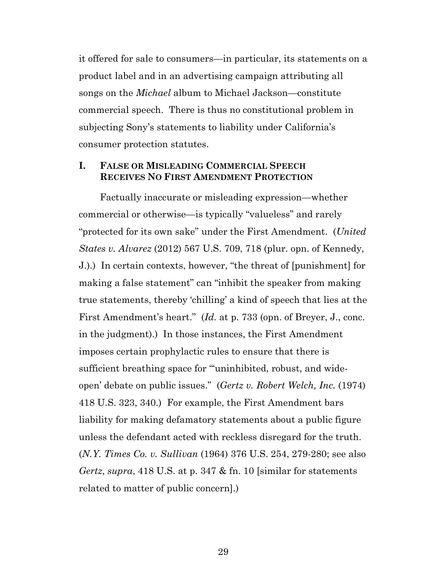it offered for sale to consumers—in particular, its statements on a product label and in an advertising campaign attributing all songs on the *Michael* album to Michael Jackson—constitute commercial speech. There is thus no constitutional problem in subjecting Sony's statements to liability under California's consumer protection statutes.

### **I. FALSE OR MISLEADING COMMERCIAL SPEECH RECEIVES NO FIRST AMENDMENT PROTECTION**

Factually inaccurate or misleading expression—whether commercial or otherwise—is typically "valueless" and rarely "protected for its own sake" under the First Amendment. (*United States v. Alvarez* (2012) 567 U.S. 709, 718 (plur. opn. of Kennedy, J.).) In certain contexts, however, "the threat of [punishment] for making a false statement" can "inhibit the speaker from making true statements, thereby 'chilling' a kind of speech that lies at the First Amendment's heart." (*Id.* at p. 733 (opn. of Breyer, J., conc. in the judgment).) In those instances, the First Amendment imposes certain prophylactic rules to ensure that there is sufficient breathing space for "uninhibited, robust, and wideopen' debate on public issues." (*Gertz v. Robert Welch, Inc.* (1974) 418 U.S. 323, 340.) For example, the First Amendment bars liability for making defamatory statements about a public figure unless the defendant acted with reckless disregard for the truth. (*N.Y. Times Co. v. Sullivan* (1964) 376 U.S. 254, 279-280; see also *Gertz*, *supra*, 418 U.S. at p. 347 & fn. 10 [similar for statements related to matter of public concern].)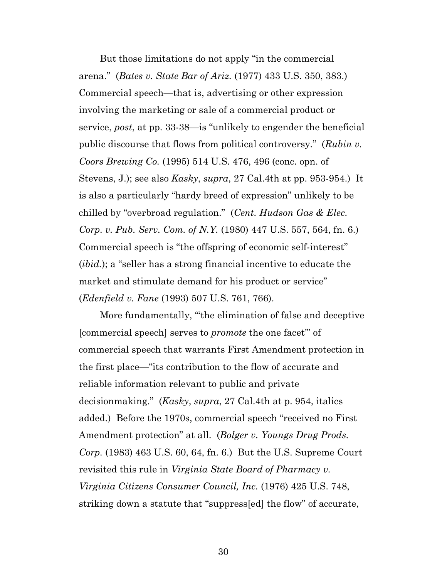But those limitations do not apply "in the commercial arena." (*Bates v. State Bar of Ariz.* (1977) 433 U.S. 350, 383.) Commercial speech—that is, advertising or other expression involving the marketing or sale of a commercial product or service, *post*, at pp. 33-38—is "unlikely to engender the beneficial public discourse that flows from political controversy." (*Rubin v. Coors Brewing Co.* (1995) 514 U.S. 476, 496 (conc. opn. of Stevens, J.); see also *Kasky*, *supra*, 27 Cal.4th at pp. 953-954.) It is also a particularly "hardy breed of expression" unlikely to be chilled by "overbroad regulation." (*Cent. Hudson Gas & Elec. Corp. v. Pub. Serv. Com. of N.Y.* (1980) 447 U.S. 557, 564, fn. 6.) Commercial speech is "the offspring of economic self-interest" (*ibid.*); a "seller has a strong financial incentive to educate the market and stimulate demand for his product or service" (*Edenfield v. Fane* (1993) 507 U.S. 761, 766).

More fundamentally, "'the elimination of false and deceptive [commercial speech] serves to *promote* the one facet'" of commercial speech that warrants First Amendment protection in the first place—"its contribution to the flow of accurate and reliable information relevant to public and private decisionmaking." (*Kasky*, *supra*, 27 Cal.4th at p. 954, italics added.) Before the 1970s, commercial speech "received no First Amendment protection" at all. (*Bolger v. Youngs Drug Prods. Corp.* (1983) 463 U.S. 60, 64, fn. 6.) But the U.S. Supreme Court revisited this rule in *Virginia State Board of Pharmacy v. Virginia Citizens Consumer Council, Inc.* (1976) 425 U.S. 748, striking down a statute that "suppress[ed] the flow" of accurate,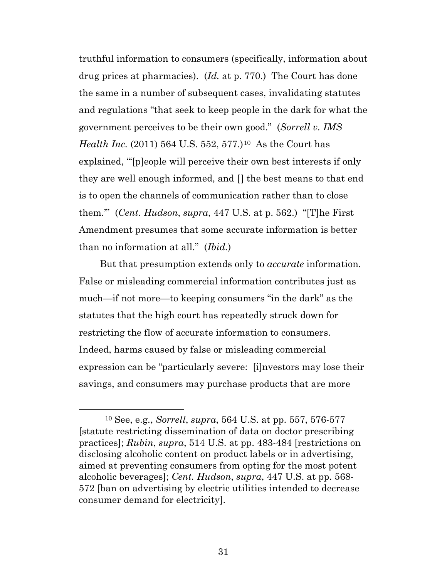truthful information to consumers (specifically, information about drug prices at pharmacies). (*Id.* at p. 770.) The Court has done the same in a number of subsequent cases, invalidating statutes and regulations "that seek to keep people in the dark for what the government perceives to be their own good." (*Sorrell v. IMS Health Inc.* (2011) 564 U.S. 552, 577.)<sup>[10](#page-30-0)</sup> As the Court has explained, "'[p]eople will perceive their own best interests if only they are well enough informed, and [] the best means to that end is to open the channels of communication rather than to close them.'" (*Cent. Hudson*, *supra*, 447 U.S. at p. 562.) "[T]he First Amendment presumes that some accurate information is better than no information at all." (*Ibid.*)

But that presumption extends only to *accurate* information. False or misleading commercial information contributes just as much—if not more—to keeping consumers "in the dark" as the statutes that the high court has repeatedly struck down for restricting the flow of accurate information to consumers. Indeed, harms caused by false or misleading commercial expression can be "particularly severe: [i]nvestors may lose their savings, and consumers may purchase products that are more

<span id="page-30-0"></span> <sup>10</sup> See, e.g., *Sorrell*, *supra*, 564 U.S. at pp. 557, 576-577 [statute restricting dissemination of data on doctor prescribing practices]; *Rubin*, *supra*, 514 U.S. at pp. 483-484 [restrictions on disclosing alcoholic content on product labels or in advertising, aimed at preventing consumers from opting for the most potent alcoholic beverages]; *Cent. Hudson*, *supra*, 447 U.S. at pp. 568- 572 [ban on advertising by electric utilities intended to decrease consumer demand for electricity].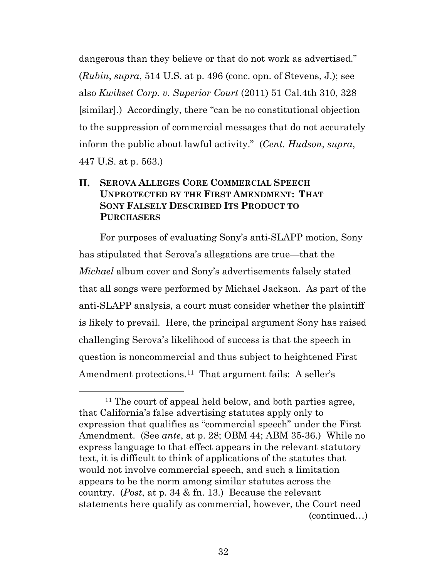dangerous than they believe or that do not work as advertised." (*Rubin*, *supra*, 514 U.S. at p. 496 (conc. opn. of Stevens, J.); see also *Kwikset Corp. v. Superior Court* (2011) 51 Cal.4th 310, 328 [similar].) Accordingly, there "can be no constitutional objection to the suppression of commercial messages that do not accurately inform the public about lawful activity." (*Cent. Hudson*, *supra*, 447 U.S. at p. 563.)

### **II. SEROVA ALLEGES CORE COMMERCIAL SPEECH UNPROTECTED BY THE FIRST AMENDMENT: THAT SONY FALSELY DESCRIBED ITS PRODUCT TO PURCHASERS**

For purposes of evaluating Sony's anti-SLAPP motion, Sony has stipulated that Serova's allegations are true—that the *Michael* album cover and Sony's advertisements falsely stated that all songs were performed by Michael Jackson. As part of the anti-SLAPP analysis, a court must consider whether the plaintiff is likely to prevail. Here, the principal argument Sony has raised challenging Serova's likelihood of success is that the speech in question is noncommercial and thus subject to heightened First Amendment protections.<sup>11</sup> That argument fails: A seller's

<span id="page-31-0"></span><sup>&</sup>lt;sup>11</sup> The court of appeal held below, and both parties agree, that California's false advertising statutes apply only to expression that qualifies as "commercial speech" under the First Amendment. (See *ante*, at p. 28; OBM 44; ABM 35-36.) While no express language to that effect appears in the relevant statutory text, it is difficult to think of applications of the statutes that would not involve commercial speech, and such a limitation appears to be the norm among similar statutes across the country. (*Post*, at p. 34 & fn. 13.) Because the relevant statements here qualify as commercial, however, the Court need (continued…)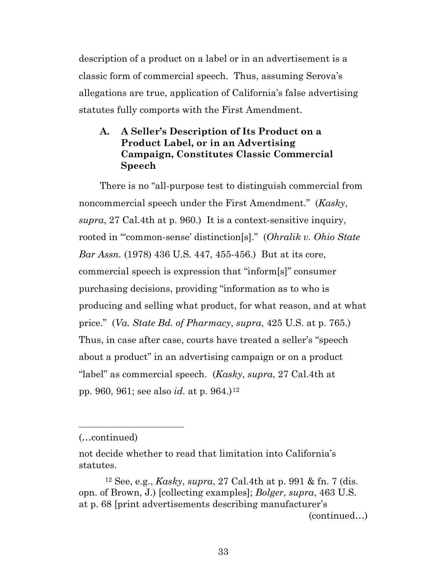description of a product on a label or in an advertisement is a classic form of commercial speech. Thus, assuming Serova's allegations are true, application of California's false advertising statutes fully comports with the First Amendment.

### **A. A Seller's Description of Its Product on a Product Label, or in an Advertising Campaign, Constitutes Classic Commercial Speech**

There is no "all-purpose test to distinguish commercial from noncommercial speech under the First Amendment." (*Kasky*, *supra*, 27 Cal.4th at p. 960.) It is a context-sensitive inquiry, rooted in "'common-sense' distinction[s]." (*Ohralik v. Ohio State Bar Assn.* (1978) 436 U.S. 447, 455-456.) But at its core, commercial speech is expression that "inform[s]" consumer purchasing decisions, providing "information as to who is producing and selling what product, for what reason, and at what price." (*Va. State Bd. of Pharmacy*, *supra*, 425 U.S. at p. 765.) Thus, in case after case, courts have treated a seller's "speech about a product" in an advertising campaign or on a product "label" as commercial speech. (*Kasky*, *supra*, 27 Cal.4th at pp. 960, 961; see also *id.* at p. 964.)[12](#page-32-0)

 $\overline{a}$ 

<sup>(…</sup>continued)

not decide whether to read that limitation into California's statutes.

<span id="page-32-0"></span><sup>12</sup> See, e.g., *Kasky*, *supra*, 27 Cal.4th at p. 991 & fn. 7 (dis. opn. of Brown, J.) [collecting examples]; *Bolger*, *supra*, 463 U.S. at p. 68 [print advertisements describing manufacturer's

<sup>(</sup>continued…)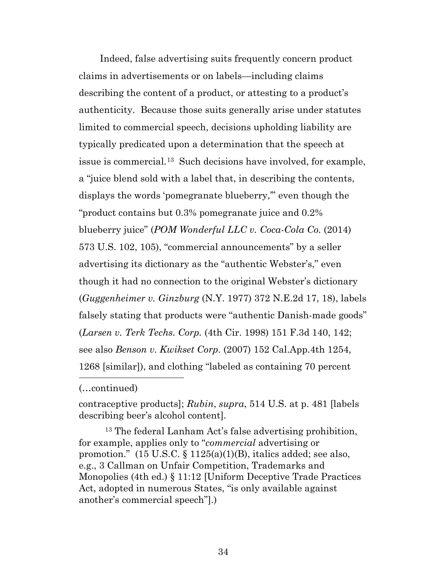Indeed, false advertising suits frequently concern product claims in advertisements or on labels—including claims describing the content of a product, or attesting to a product's authenticity. Because those suits generally arise under statutes limited to commercial speech, decisions upholding liability are typically predicated upon a determination that the speech at issue is commercial.[13](#page-33-0) Such decisions have involved, for example, a "juice blend sold with a label that, in describing the contents, displays the words 'pomegranate blueberry,'" even though the "product contains but 0.3% pomegranate juice and 0.2% blueberry juice" (*POM Wonderful LLC v. Coca-Cola Co.* (2014) 573 U.S. 102, 105), "commercial announcements" by a seller advertising its dictionary as the "authentic Webster's," even though it had no connection to the original Webster's dictionary (*Guggenheimer v. Ginzburg* (N.Y. 1977) 372 N.E.2d 17, 18), labels falsely stating that products were "authentic Danish-made goods" (*Larsen v. Terk Techs. Corp.* (4th Cir. 1998) 151 F.3d 140, 142; see also *Benson v. Kwikset Corp.* (2007) 152 Cal.App.4th 1254, 1268 [similar]), and clothing "labeled as containing 70 percent  $\overline{a}$ 

#### (…continued)

contraceptive products]; *Rubin*, *supra*, 514 U.S. at p. 481 [labels describing beer's alcohol content].

<span id="page-33-0"></span><sup>13</sup> The federal Lanham Act's false advertising prohibition, for example, applies only to "*commercial* advertising or promotion."  $(15 \text{ U.S.C.} \S 1125(a)(1)(B))$ , italics added; see also, e.g., 3 Callman on Unfair Competition, Trademarks and Monopolies (4th ed.) § 11:12 [Uniform Deceptive Trade Practices Act, adopted in numerous States, "is only available against another's commercial speech"].)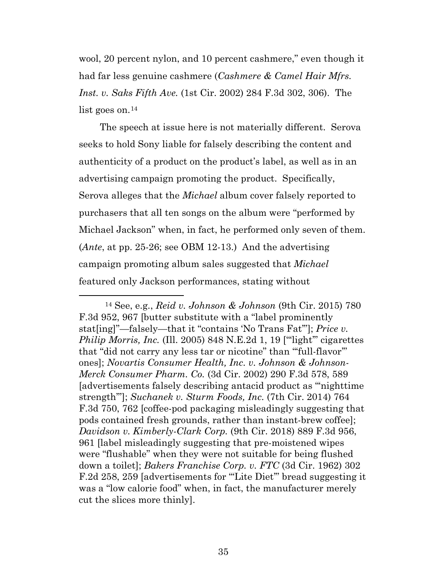wool, 20 percent nylon, and 10 percent cashmere," even though it had far less genuine cashmere (*Cashmere & Camel Hair Mfrs. Inst. v. Saks Fifth Ave.* (1st Cir. 2002) 284 F.3d 302, 306). The list goes on. $^{14}$  $^{14}$  $^{14}$ 

The speech at issue here is not materially different. Serova seeks to hold Sony liable for falsely describing the content and authenticity of a product on the product's label, as well as in an advertising campaign promoting the product. Specifically, Serova alleges that the *Michael* album cover falsely reported to purchasers that all ten songs on the album were "performed by Michael Jackson" when, in fact, he performed only seven of them. (*Ante*, at pp. 25-26; see OBM 12-13.) And the advertising campaign promoting album sales suggested that *Michael* featured only Jackson performances, stating without

<span id="page-34-0"></span> <sup>14</sup> See, e.g., *Reid v. Johnson & Johnson* (9th Cir. 2015) <sup>780</sup> F.3d 952, 967 [butter substitute with a "label prominently stat[ing]"—falsely—that it "contains 'No Trans Fat'"]; *Price v. Philip Morris, Inc.* (Ill. 2005) 848 N.E.2d 1, 19 ["light" cigarettes that "did not carry any less tar or nicotine" than "'full-flavor'" ones]; *Novartis Consumer Health, Inc. v. Johnson & Johnson-Merck Consumer Pharm. Co.* (3d Cir. 2002) 290 F.3d 578, 589 [advertisements falsely describing antacid product as "'nighttime strength'"]; *Suchanek v. Sturm Foods, Inc.* (7th Cir. 2014) 764 F.3d 750, 762 [coffee-pod packaging misleadingly suggesting that pods contained fresh grounds, rather than instant-brew coffee]; *Davidson v. Kimberly-Clark Corp.* (9th Cir. 2018) 889 F.3d 956, 961 [label misleadingly suggesting that pre-moistened wipes were "flushable" when they were not suitable for being flushed down a toilet]; *Bakers Franchise Corp. v. FTC* (3d Cir. 1962) 302 F.2d 258, 259 [advertisements for "'Lite Diet'" bread suggesting it was a "low calorie food" when, in fact, the manufacturer merely cut the slices more thinly].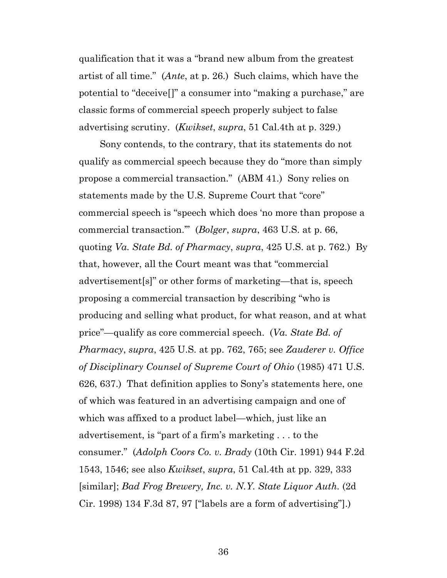qualification that it was a "brand new album from the greatest artist of all time." (*Ante*, at p. 26.) Such claims, which have the potential to "deceive[]" a consumer into "making a purchase," are classic forms of commercial speech properly subject to false advertising scrutiny. (*Kwikset*, *supra*, 51 Cal.4th at p. 329.)

Sony contends, to the contrary, that its statements do not qualify as commercial speech because they do "more than simply propose a commercial transaction." (ABM 41.) Sony relies on statements made by the U.S. Supreme Court that "core" commercial speech is "speech which does 'no more than propose a commercial transaction.'" (*Bolger*, *supra*, 463 U.S. at p. 66, quoting *Va. State Bd. of Pharmacy*, *supra*, 425 U.S. at p. 762.) By that, however, all the Court meant was that "commercial advertisement[s]" or other forms of marketing—that is, speech proposing a commercial transaction by describing "who is producing and selling what product, for what reason, and at what price"—qualify as core commercial speech. (*Va. State Bd. of Pharmacy*, *supra*, 425 U.S. at pp. 762, 765; see *Zauderer v. Office of Disciplinary Counsel of Supreme Court of Ohio* (1985) 471 U.S. 626, 637.) That definition applies to Sony's statements here, one of which was featured in an advertising campaign and one of which was affixed to a product label—which, just like an advertisement, is "part of a firm's marketing . . . to the consumer." (*Adolph Coors Co. v. Brady* (10th Cir. 1991) 944 F.2d 1543, 1546; see also *Kwikset*, *supra*, 51 Cal.4th at pp. 329, 333 [similar]; *Bad Frog Brewery, Inc. v. N.Y. State Liquor Auth.* (2d Cir. 1998) 134 F.3d 87, 97 ["labels are a form of advertising"].)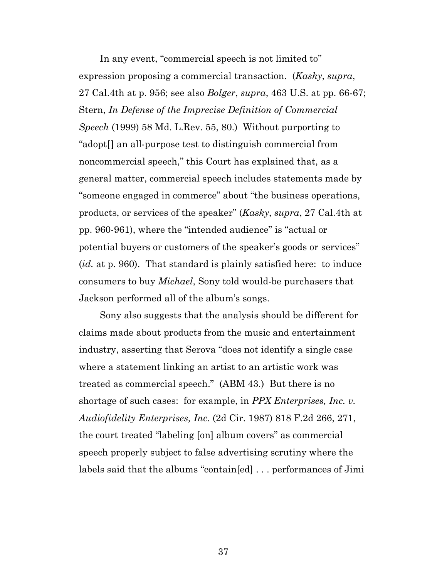In any event, "commercial speech is not limited to" expression proposing a commercial transaction. (*Kasky*, *supra*, 27 Cal.4th at p. 956; see also *Bolger*, *supra*, 463 U.S. at pp. 66-67; Stern, *In Defense of the Imprecise Definition of Commercial Speech* (1999) 58 Md. L.Rev. 55, 80.) Without purporting to "adopt[] an all-purpose test to distinguish commercial from noncommercial speech," this Court has explained that, as a general matter, commercial speech includes statements made by "someone engaged in commerce" about "the business operations, products, or services of the speaker" (*Kasky*, *supra*, 27 Cal.4th at pp. 960-961), where the "intended audience" is "actual or potential buyers or customers of the speaker's goods or services" (*id.* at p. 960). That standard is plainly satisfied here: to induce consumers to buy *Michael*, Sony told would-be purchasers that Jackson performed all of the album's songs.

Sony also suggests that the analysis should be different for claims made about products from the music and entertainment industry, asserting that Serova "does not identify a single case where a statement linking an artist to an artistic work was treated as commercial speech." (ABM 43.) But there is no shortage of such cases: for example, in *PPX Enterprises, Inc. v. Audiofidelity Enterprises, Inc.* (2d Cir. 1987) 818 F.2d 266, 271, the court treated "labeling [on] album covers" as commercial speech properly subject to false advertising scrutiny where the labels said that the albums "contain[ed] . . . performances of Jimi

37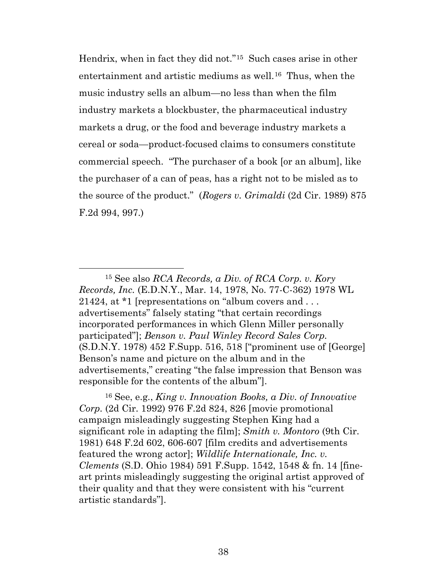Hendrix, when in fact they did not."[15](#page-37-0) Such cases arise in other entertainment and artistic mediums as well.<sup>16</sup> Thus, when the music industry sells an album—no less than when the film industry markets a blockbuster, the pharmaceutical industry markets a drug, or the food and beverage industry markets a cereal or soda—product-focused claims to consumers constitute commercial speech. "The purchaser of a book [or an album], like the purchaser of a can of peas, has a right not to be misled as to the source of the product." (*Rogers v. Grimaldi* (2d Cir. 1989) 875 F.2d 994, 997.)

<span id="page-37-1"></span><sup>16</sup> See, e.g., *King v. Innovation Books, a Div. of Innovative Corp.* (2d Cir. 1992) 976 F.2d 824, 826 [movie promotional campaign misleadingly suggesting Stephen King had a significant role in adapting the film]; *Smith v. Montoro* (9th Cir. 1981) 648 F.2d 602, 606-607 [film credits and advertisements featured the wrong actor]; *Wildlife Internationale, Inc. v. Clements* (S.D. Ohio 1984) 591 F.Supp. 1542, 1548 & fn. 14 [fineart prints misleadingly suggesting the original artist approved of their quality and that they were consistent with his "current artistic standards"].

<span id="page-37-0"></span> <sup>15</sup> See also *RCA Records, a Div. of RCA Corp. v. Kory Records, Inc.* (E.D.N.Y., Mar. 14, 1978, No. 77-C-362) 1978 WL 21424, at \*1 [representations on "album covers and . . . advertisements" falsely stating "that certain recordings incorporated performances in which Glenn Miller personally participated"]; *Benson v. Paul Winley Record Sales Corp.* (S.D.N.Y. 1978) 452 F.Supp. 516, 518 ["prominent use of [George] Benson's name and picture on the album and in the advertisements," creating "the false impression that Benson was responsible for the contents of the album"].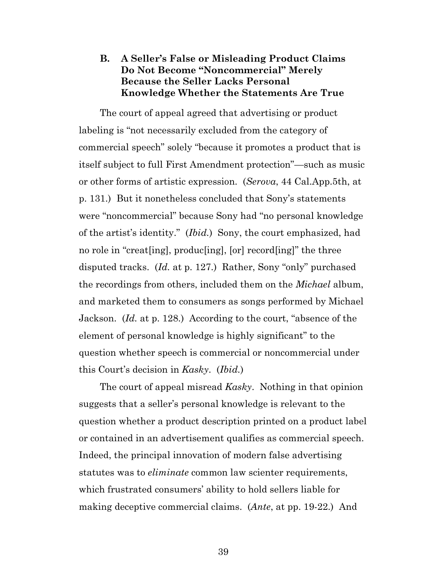### **B. A Seller's False or Misleading Product Claims Do Not Become "Noncommercial" Merely Because the Seller Lacks Personal Knowledge Whether the Statements Are True**

The court of appeal agreed that advertising or product labeling is "not necessarily excluded from the category of commercial speech" solely "because it promotes a product that is itself subject to full First Amendment protection"—such as music or other forms of artistic expression. (*Serova*, 44 Cal.App.5th, at p. 131.) But it nonetheless concluded that Sony's statements were "noncommercial" because Sony had "no personal knowledge of the artist's identity." (*Ibid.*) Sony, the court emphasized, had no role in "creat[ing], produc[ing], [or] record[ing]" the three disputed tracks. (*Id.* at p. 127.) Rather, Sony "only" purchased the recordings from others, included them on the *Michael* album, and marketed them to consumers as songs performed by Michael Jackson. (*Id.* at p. 128.) According to the court, "absence of the element of personal knowledge is highly significant" to the question whether speech is commercial or noncommercial under this Court's decision in *Kasky*. (*Ibid.*)

The court of appeal misread *Kasky*. Nothing in that opinion suggests that a seller's personal knowledge is relevant to the question whether a product description printed on a product label or contained in an advertisement qualifies as commercial speech. Indeed, the principal innovation of modern false advertising statutes was to *eliminate* common law scienter requirements, which frustrated consumers' ability to hold sellers liable for making deceptive commercial claims. (*Ante*, at pp. 19-22.) And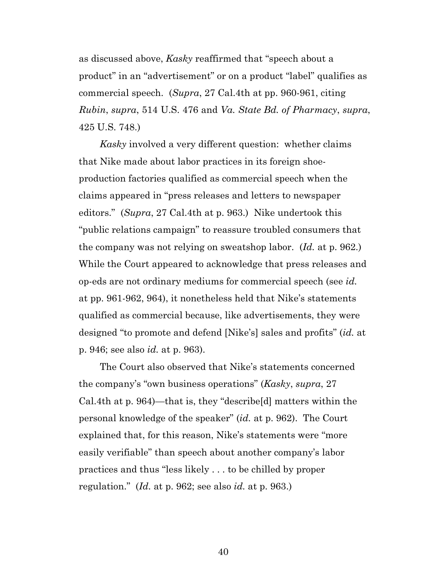as discussed above, *Kasky* reaffirmed that "speech about a product" in an "advertisement" or on a product "label" qualifies as commercial speech. (*Supra*, 27 Cal.4th at pp. 960-961, citing *Rubin*, *supra*, 514 U.S. 476 and *Va. State Bd. of Pharmacy*, *supra*, 425 U.S. 748.)

*Kasky* involved a very different question: whether claims that Nike made about labor practices in its foreign shoeproduction factories qualified as commercial speech when the claims appeared in "press releases and letters to newspaper editors." (*Supra*, 27 Cal.4th at p. 963.) Nike undertook this "public relations campaign" to reassure troubled consumers that the company was not relying on sweatshop labor. (*Id.* at p. 962.) While the Court appeared to acknowledge that press releases and op-eds are not ordinary mediums for commercial speech (see *id.*  at pp. 961-962, 964), it nonetheless held that Nike's statements qualified as commercial because, like advertisements, they were designed "to promote and defend [Nike's] sales and profits" (*id.* at p. 946; see also *id.* at p. 963).

The Court also observed that Nike's statements concerned the company's "own business operations" (*Kasky*, *supra*, 27 Cal.4th at p. 964)—that is, they "describe[d] matters within the personal knowledge of the speaker" (*id.* at p. 962). The Court explained that, for this reason, Nike's statements were "more easily verifiable" than speech about another company's labor practices and thus "less likely . . . to be chilled by proper regulation." (*Id.* at p. 962; see also *id.* at p. 963.)

40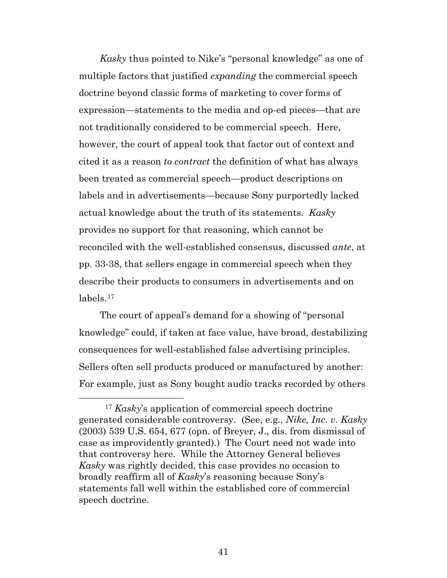*Kasky* thus pointed to Nike's "personal knowledge" as one of multiple factors that justified *expanding* the commercial speech doctrine beyond classic forms of marketing to cover forms of expression—statements to the media and op-ed pieces—that are not traditionally considered to be commercial speech. Here, however, the court of appeal took that factor out of context and cited it as a reason *to contract* the definition of what has always been treated as commercial speech—product descriptions on labels and in advertisements—because Sony purportedly lacked actual knowledge about the truth of its statements. *Kasky* provides no support for that reasoning, which cannot be reconciled with the well-established consensus, discussed *ante*, at pp. 33-38, that sellers engage in commercial speech when they describe their products to consumers in advertisements and on labels.[17](#page-40-0)

The court of appeal's demand for a showing of "personal knowledge" could, if taken at face value, have broad, destabilizing consequences for well-established false advertising principles. Sellers often sell products produced or manufactured by another: For example, just as Sony bought audio tracks recorded by others

<span id="page-40-0"></span> <sup>17</sup> *Kasky*'s application of commercial speech doctrine generated considerable controversy. (See, e.g., *Nike, Inc. v. Kasky* (2003) 539 U.S. 654, 677 (opn. of Breyer, J., dis. from dismissal of case as improvidently granted).) The Court need not wade into that controversy here. While the Attorney General believes *Kasky* was rightly decided, this case provides no occasion to broadly reaffirm all of *Kasky*'s reasoning because Sony's statements fall well within the established core of commercial speech doctrine.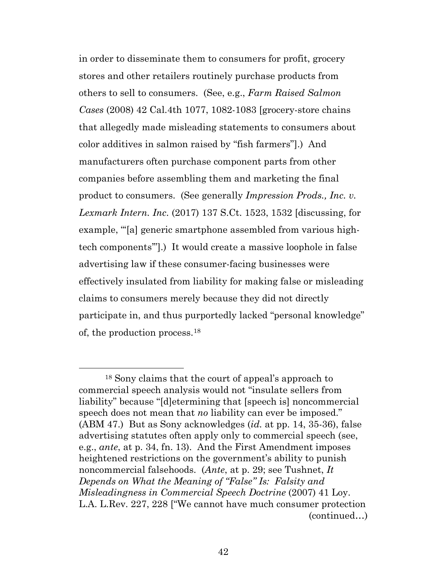in order to disseminate them to consumers for profit, grocery stores and other retailers routinely purchase products from others to sell to consumers. (See, e.g., *Farm Raised Salmon Cases* (2008) 42 Cal.4th 1077, 1082-1083 [grocery-store chains that allegedly made misleading statements to consumers about color additives in salmon raised by "fish farmers"].) And manufacturers often purchase component parts from other companies before assembling them and marketing the final product to consumers. (See generally *Impression Prods., Inc. v. Lexmark Intern. Inc.* (2017) 137 S.Ct. 1523, 1532 [discussing, for example, "[a] generic smartphone assembled from various hightech components'"].) It would create a massive loophole in false advertising law if these consumer-facing businesses were effectively insulated from liability for making false or misleading claims to consumers merely because they did not directly participate in, and thus purportedly lacked "personal knowledge" of, the production process.[18](#page-41-0)

<span id="page-41-0"></span> <sup>18</sup> Sony claims that the court of appeal's approach to commercial speech analysis would not "insulate sellers from liability" because "[d]etermining that [speech is] noncommercial speech does not mean that *no* liability can ever be imposed." (ABM 47.) But as Sony acknowledges (*id.* at pp. 14, 35-36), false advertising statutes often apply only to commercial speech (see, e.g., *ante*, at p. 34, fn. 13). And the First Amendment imposes heightened restrictions on the government's ability to punish noncommercial falsehoods. (*Ante*, at p. 29; see Tushnet, *It Depends on What the Meaning of "False" Is: Falsity and Misleadingness in Commercial Speech Doctrine* (2007) 41 Loy. L.A. L.Rev. 227, 228 ["We cannot have much consumer protection (continued…)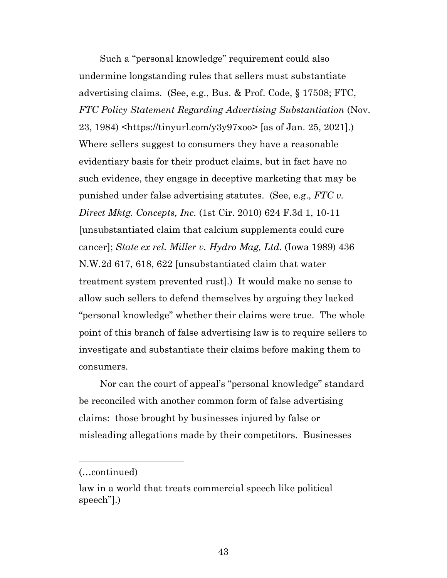Such a "personal knowledge" requirement could also undermine longstanding rules that sellers must substantiate advertising claims. (See, e.g., Bus. & Prof. Code, § 17508; FTC, *FTC Policy Statement Regarding Advertising Substantiation* (Nov. 23, 1984) <https://tinyurl.com/y3y97xoo> [as of Jan. 25, 2021].) Where sellers suggest to consumers they have a reasonable evidentiary basis for their product claims, but in fact have no such evidence, they engage in deceptive marketing that may be punished under false advertising statutes. (See, e.g., *FTC v. Direct Mktg. Concepts, Inc.* (1st Cir. 2010) 624 F.3d 1, 10-11 [unsubstantiated claim that calcium supplements could cure cancer]; *State ex rel. Miller v. Hydro Mag, Ltd.* (Iowa 1989) 436 N.W.2d 617, 618, 622 [unsubstantiated claim that water treatment system prevented rust].) It would make no sense to allow such sellers to defend themselves by arguing they lacked "personal knowledge" whether their claims were true. The whole point of this branch of false advertising law is to require sellers to investigate and substantiate their claims before making them to consumers.

Nor can the court of appeal's "personal knowledge" standard be reconciled with another common form of false advertising claims: those brought by businesses injured by false or misleading allegations made by their competitors. Businesses

l

<sup>(…</sup>continued)

law in a world that treats commercial speech like political speech"].)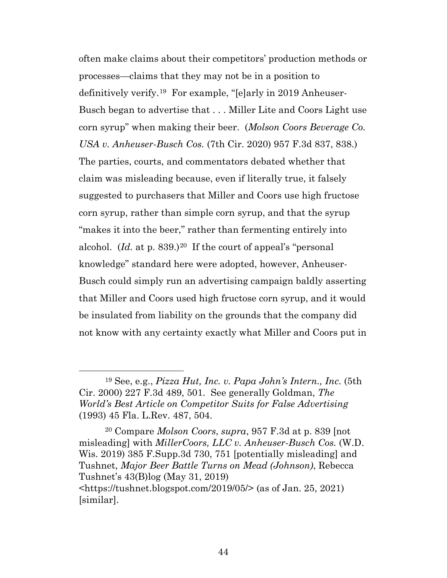often make claims about their competitors' production methods or processes—claims that they may not be in a position to definitively verify.[19](#page-43-0) For example, "[e]arly in 2019 Anheuser-Busch began to advertise that . . . Miller Lite and Coors Light use corn syrup" when making their beer. (*Molson Coors Beverage Co. USA v. Anheuser-Busch Cos.* (7th Cir. 2020) 957 F.3d 837, 838.) The parties, courts, and commentators debated whether that claim was misleading because, even if literally true, it falsely suggested to purchasers that Miller and Coors use high fructose corn syrup, rather than simple corn syrup, and that the syrup "makes it into the beer," rather than fermenting entirely into alcohol. (*Id.* at p. 839.)<sup>20</sup> If the court of appeal's "personal" knowledge" standard here were adopted, however, Anheuser-Busch could simply run an advertising campaign baldly asserting that Miller and Coors used high fructose corn syrup, and it would be insulated from liability on the grounds that the company did not know with any certainty exactly what Miller and Coors put in

<span id="page-43-0"></span> <sup>19</sup> See, e.g., *Pizza Hut, Inc. v. Papa John's Intern., Inc.* (5th Cir. 2000) 227 F.3d 489, 501. See generally Goldman, *The World's Best Article on Competitor Suits for False Advertising* (1993) 45 Fla. L.Rev. 487, 504.

<span id="page-43-1"></span><sup>20</sup> Compare *Molson Coors*, *supra*, 957 F.3d at p. 839 [not misleading] with *MillerCoors, LLC v. Anheuser-Busch Cos.* (W.D. Wis. 2019) 385 F.Supp.3d 730, 751 [potentially misleading] and Tushnet, *Major Beer Battle Turns on Mead (Johnson)*, Rebecca Tushnet's 43(B)log (May 31, 2019) <https://tushnet.blogspot.com/2019/05/> (as of Jan. 25, 2021) [similar].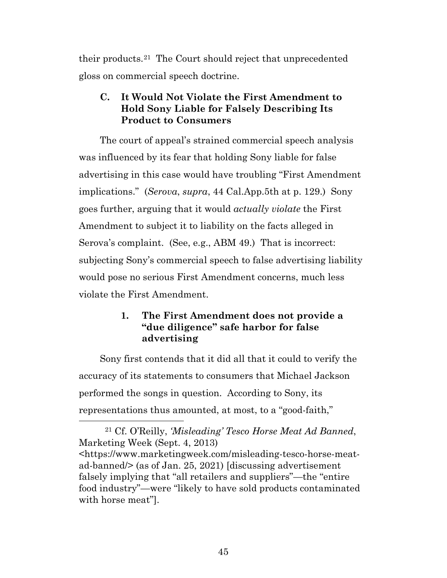their products.[21](#page-44-0) The Court should reject that unprecedented gloss on commercial speech doctrine.

### **C. It Would Not Violate the First Amendment to Hold Sony Liable for Falsely Describing Its Product to Consumers**

The court of appeal's strained commercial speech analysis was influenced by its fear that holding Sony liable for false advertising in this case would have troubling "First Amendment implications." (*Serova*, *supra*, 44 Cal.App.5th at p. 129.) Sony goes further, arguing that it would *actually violate* the First Amendment to subject it to liability on the facts alleged in Serova's complaint. (See, e.g., ABM 49.) That is incorrect: subjecting Sony's commercial speech to false advertising liability would pose no serious First Amendment concerns, much less violate the First Amendment.

### **1. The First Amendment does not provide a "due diligence" safe harbor for false advertising**

Sony first contends that it did all that it could to verify the accuracy of its statements to consumers that Michael Jackson performed the songs in question. According to Sony, its representations thus amounted, at most, to a "good-faith,"

<span id="page-44-0"></span> 21 Cf. O'Reilly, *'Misleading' Tesco Horse Meat Ad Banned*, Marketing Week (Sept. 4, 2013) <https://www.marketingweek.com/misleading-tesco-horse-meatad-banned/> (as of Jan. 25, 2021) [discussing advertisement falsely implying that "all retailers and suppliers"—the "entire food industry"—were "likely to have sold products contaminated with horse meat"].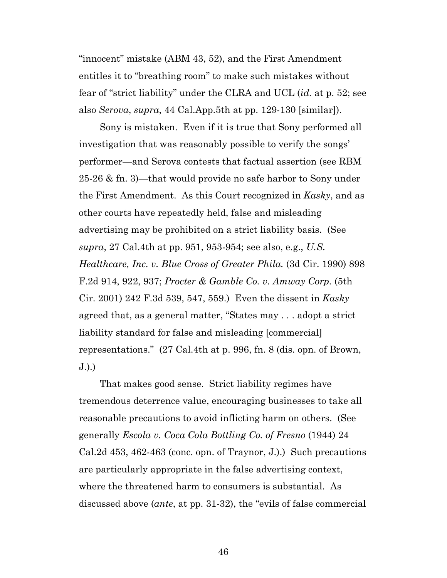"innocent" mistake (ABM 43, 52), and the First Amendment entitles it to "breathing room" to make such mistakes without fear of "strict liability" under the CLRA and UCL (*id.* at p. 52; see also *Serova*, *supra*, 44 Cal.App.5th at pp. 129-130 [similar]).

Sony is mistaken. Even if it is true that Sony performed all investigation that was reasonably possible to verify the songs' performer—and Serova contests that factual assertion (see RBM 25-26 & fn. 3)—that would provide no safe harbor to Sony under the First Amendment. As this Court recognized in *Kasky*, and as other courts have repeatedly held, false and misleading advertising may be prohibited on a strict liability basis. (See *supra*, 27 Cal.4th at pp. 951, 953-954; see also, e.g., *U.S. Healthcare, Inc. v. Blue Cross of Greater Phila.* (3d Cir. 1990) 898 F.2d 914, 922, 937; *Procter & Gamble Co. v. Amway Corp.* (5th Cir. 2001) 242 F.3d 539, 547, 559.) Even the dissent in *Kasky* agreed that, as a general matter, "States may . . . adopt a strict liability standard for false and misleading [commercial] representations." (27 Cal.4th at p. 996, fn. 8 (dis. opn. of Brown, J.).)

That makes good sense. Strict liability regimes have tremendous deterrence value, encouraging businesses to take all reasonable precautions to avoid inflicting harm on others. (See generally *Escola v. Coca Cola Bottling Co. of Fresno* (1944) 24 Cal.2d 453, 462-463 (conc. opn. of Traynor, J.).) Such precautions are particularly appropriate in the false advertising context, where the threatened harm to consumers is substantial. As discussed above (*ante*, at pp. 31-32), the "evils of false commercial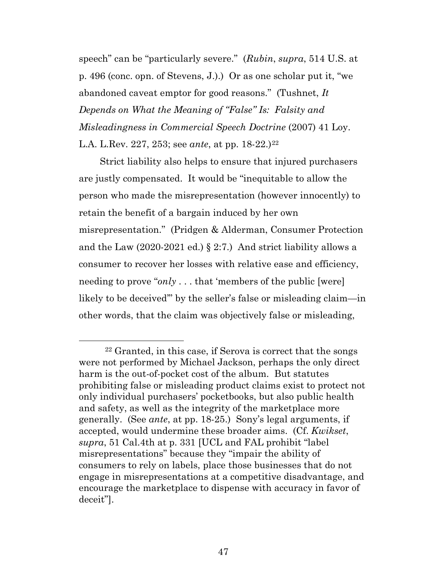speech" can be "particularly severe." (*Rubin*, *supra*, 514 U.S. at p. 496 (conc. opn. of Stevens, J.).) Or as one scholar put it, "we abandoned caveat emptor for good reasons." (Tushnet, *It Depends on What the Meaning of "False" Is: Falsity and Misleadingness in Commercial Speech Doctrine* (2007) 41 Loy. L.A. L.Rev. [22](#page-46-0)7, 253; see *ante*, at pp. 18-22.)<sup>22</sup>

Strict liability also helps to ensure that injured purchasers are justly compensated. It would be "inequitable to allow the person who made the misrepresentation (however innocently) to retain the benefit of a bargain induced by her own misrepresentation." (Pridgen & Alderman, Consumer Protection and the Law  $(2020-2021 \text{ ed.}) \text{ § } 2:7$ .) And strict liability allows a consumer to recover her losses with relative ease and efficiency, needing to prove "*only* . . . that 'members of the public [were] likely to be deceived'" by the seller's false or misleading claim—in other words, that the claim was objectively false or misleading,

<span id="page-46-0"></span> <sup>22</sup> Granted, in this case, if Serova is correct that the songs were not performed by Michael Jackson, perhaps the only direct harm is the out-of-pocket cost of the album. But statutes prohibiting false or misleading product claims exist to protect not only individual purchasers' pocketbooks, but also public health and safety, as well as the integrity of the marketplace more generally. (See *ante*, at pp. 18-25.) Sony's legal arguments, if accepted, would undermine these broader aims. (Cf. *Kwikset*, *supra*, 51 Cal.4th at p. 331 [UCL and FAL prohibit "label misrepresentations" because they "impair the ability of consumers to rely on labels, place those businesses that do not engage in misrepresentations at a competitive disadvantage, and encourage the marketplace to dispense with accuracy in favor of deceit"].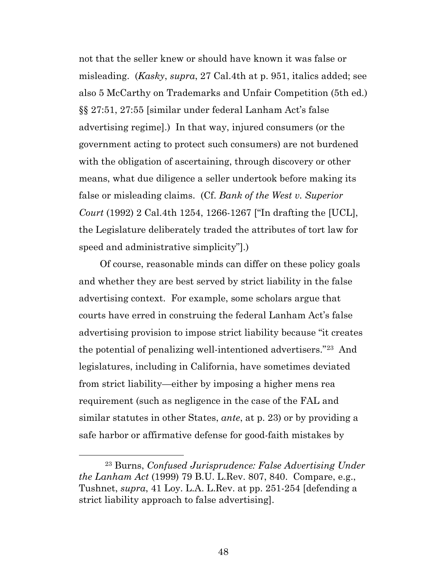not that the seller knew or should have known it was false or misleading. (*Kasky*, *supra*, 27 Cal.4th at p. 951, italics added; see also 5 McCarthy on Trademarks and Unfair Competition (5th ed.) §§ 27:51, 27:55 [similar under federal Lanham Act's false advertising regime].) In that way, injured consumers (or the government acting to protect such consumers) are not burdened with the obligation of ascertaining, through discovery or other means, what due diligence a seller undertook before making its false or misleading claims. (Cf. *Bank of the West v. Superior Court* (1992) 2 Cal.4th 1254, 1266-1267 ["In drafting the [UCL], the Legislature deliberately traded the attributes of tort law for speed and administrative simplicity"].)

Of course, reasonable minds can differ on these policy goals and whether they are best served by strict liability in the false advertising context. For example, some scholars argue that courts have erred in construing the federal Lanham Act's false advertising provision to impose strict liability because "it creates the potential of penalizing well-intentioned advertisers."[23](#page-47-0) And legislatures, including in California, have sometimes deviated from strict liability—either by imposing a higher mens rea requirement (such as negligence in the case of the FAL and similar statutes in other States, *ante*, at p. 23) or by providing a safe harbor or affirmative defense for good-faith mistakes by

<span id="page-47-0"></span> <sup>23</sup> Burns, *Confused Jurisprudence: False Advertising Under the Lanham Act* (1999) 79 B.U. L.Rev. 807, 840. Compare, e.g., Tushnet, *supra*, 41 Loy. L.A. L.Rev. at pp. 251-254 [defending a strict liability approach to false advertising].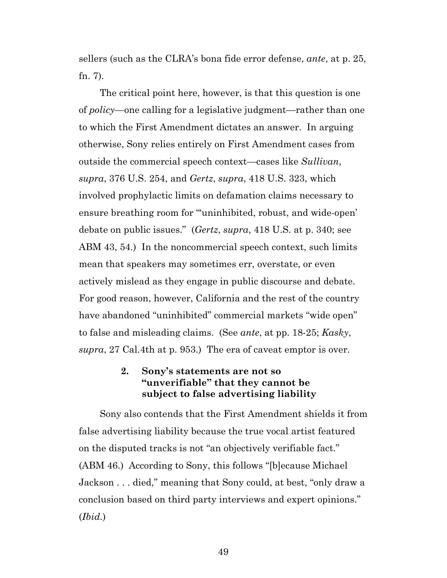sellers (such as the CLRA's bona fide error defense, *ante*, at p. 25, fn. 7).

The critical point here, however, is that this question is one of *policy*—one calling for a legislative judgment—rather than one to which the First Amendment dictates an answer. In arguing otherwise, Sony relies entirely on First Amendment cases from outside the commercial speech context—cases like *Sullivan*, *supra*, 376 U.S. 254, and *Gertz*, *supra*, 418 U.S. 323, which involved prophylactic limits on defamation claims necessary to ensure breathing room for "'uninhibited, robust, and wide-open' debate on public issues." (*Gertz*, *supra*, 418 U.S. at p. 340; see ABM 43, 54.) In the noncommercial speech context, such limits mean that speakers may sometimes err, overstate, or even actively mislead as they engage in public discourse and debate. For good reason, however, California and the rest of the country have abandoned "uninhibited" commercial markets "wide open" to false and misleading claims. (See *ante*, at pp. 18-25; *Kasky*, *supra*, 27 Cal.4th at p. 953.) The era of caveat emptor is over.

### **2. Sony's statements are not so "unverifiable" that they cannot be subject to false advertising liability**

Sony also contends that the First Amendment shields it from false advertising liability because the true vocal artist featured on the disputed tracks is not "an objectively verifiable fact." (ABM 46.) According to Sony, this follows "[b]ecause Michael Jackson . . . died," meaning that Sony could, at best, "only draw a conclusion based on third party interviews and expert opinions." (*Ibid.*)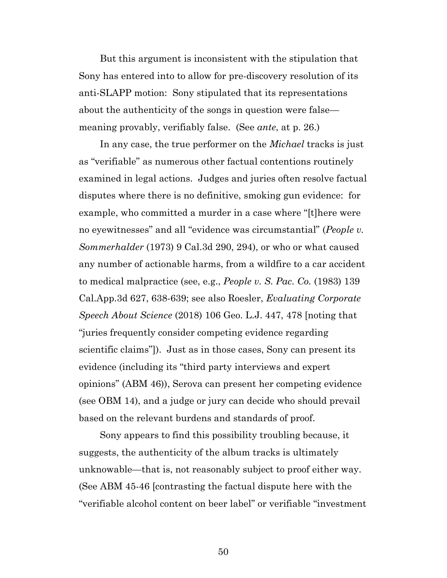But this argument is inconsistent with the stipulation that Sony has entered into to allow for pre-discovery resolution of its anti-SLAPP motion: Sony stipulated that its representations about the authenticity of the songs in question were false meaning provably, verifiably false. (See *ante*, at p. 26.)

In any case, the true performer on the *Michael* tracks is just as "verifiable" as numerous other factual contentions routinely examined in legal actions. Judges and juries often resolve factual disputes where there is no definitive, smoking gun evidence: for example, who committed a murder in a case where "[t]here were no eyewitnesses" and all "evidence was circumstantial" (*People v. Sommerhalder* (1973) 9 Cal.3d 290, 294), or who or what caused any number of actionable harms, from a wildfire to a car accident to medical malpractice (see, e.g., *People v. S. Pac. Co.* (1983) 139 Cal.App.3d 627, 638-639; see also Roesler, *Evaluating Corporate Speech About Science* (2018) 106 Geo. L.J. 447, 478 [noting that "juries frequently consider competing evidence regarding scientific claims"]). Just as in those cases, Sony can present its evidence (including its "third party interviews and expert opinions" (ABM 46)), Serova can present her competing evidence (see OBM 14), and a judge or jury can decide who should prevail based on the relevant burdens and standards of proof.

Sony appears to find this possibility troubling because, it suggests, the authenticity of the album tracks is ultimately unknowable—that is, not reasonably subject to proof either way. (See ABM 45-46 [contrasting the factual dispute here with the "verifiable alcohol content on beer label" or verifiable "investment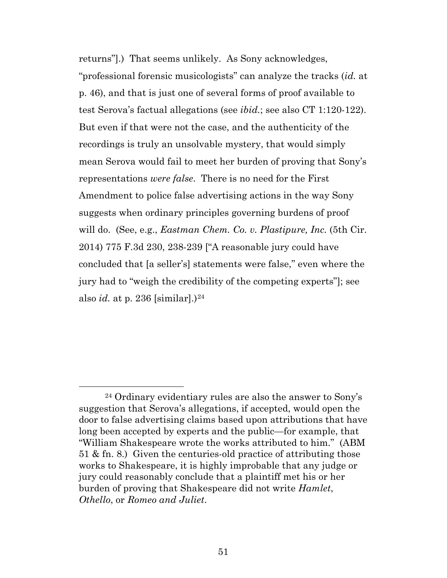returns"].) That seems unlikely. As Sony acknowledges, "professional forensic musicologists" can analyze the tracks (*id.* at p. 46), and that is just one of several forms of proof available to test Serova's factual allegations (see *ibid.*; see also CT 1:120-122). But even if that were not the case, and the authenticity of the recordings is truly an unsolvable mystery, that would simply mean Serova would fail to meet her burden of proving that Sony's representations *were false*. There is no need for the First Amendment to police false advertising actions in the way Sony suggests when ordinary principles governing burdens of proof will do. (See, e.g., *Eastman Chem. Co. v. Plastipure, Inc.* (5th Cir. 2014) 775 F.3d 230, 238-239 ["A reasonable jury could have concluded that [a seller's] statements were false," even where the jury had to "weigh the credibility of the competing experts"]; see also *id.* at p. 236 [similar].)<sup>[24](#page-50-0)</sup>

<span id="page-50-0"></span> <sup>24</sup> Ordinary evidentiary rules are also the answer to Sony's suggestion that Serova's allegations, if accepted, would open the door to false advertising claims based upon attributions that have long been accepted by experts and the public—for example, that "William Shakespeare wrote the works attributed to him." (ABM 51 & fn. 8.) Given the centuries-old practice of attributing those works to Shakespeare, it is highly improbable that any judge or jury could reasonably conclude that a plaintiff met his or her burden of proving that Shakespeare did not write *Hamlet*, *Othello*, or *Romeo and Juliet*.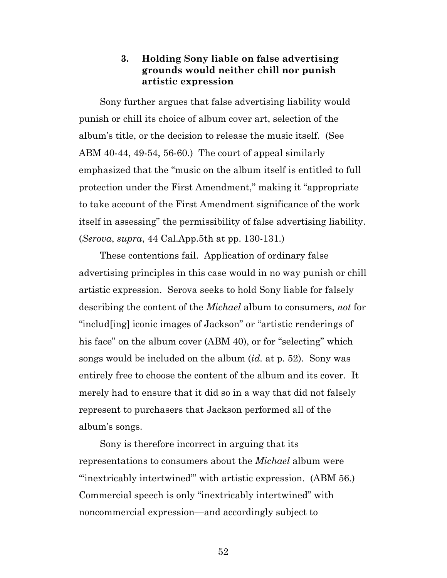### **3. Holding Sony liable on false advertising grounds would neither chill nor punish artistic expression**

Sony further argues that false advertising liability would punish or chill its choice of album cover art, selection of the album's title, or the decision to release the music itself. (See ABM 40-44, 49-54, 56-60.) The court of appeal similarly emphasized that the "music on the album itself is entitled to full protection under the First Amendment," making it "appropriate to take account of the First Amendment significance of the work itself in assessing" the permissibility of false advertising liability. (*Serova*, *supra*, 44 Cal.App.5th at pp. 130-131.)

These contentions fail. Application of ordinary false advertising principles in this case would in no way punish or chill artistic expression. Serova seeks to hold Sony liable for falsely describing the content of the *Michael* album to consumers, *not* for "includ[ing] iconic images of Jackson" or "artistic renderings of his face" on the album cover (ABM 40), or for "selecting" which songs would be included on the album (*id.* at p. 52). Sony was entirely free to choose the content of the album and its cover. It merely had to ensure that it did so in a way that did not falsely represent to purchasers that Jackson performed all of the album's songs.

Sony is therefore incorrect in arguing that its representations to consumers about the *Michael* album were "'inextricably intertwined'" with artistic expression. (ABM 56.) Commercial speech is only "inextricably intertwined" with noncommercial expression—and accordingly subject to

52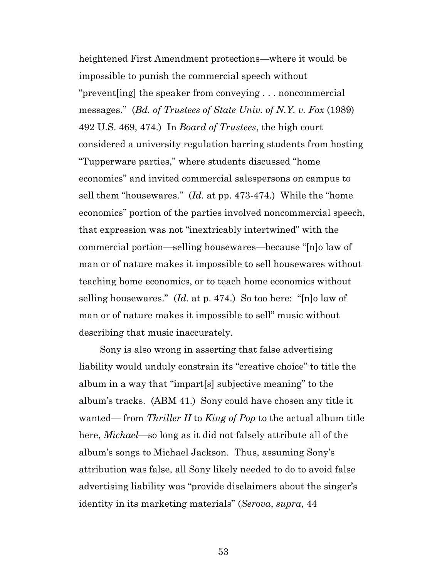heightened First Amendment protections—where it would be impossible to punish the commercial speech without "prevent[ing] the speaker from conveying . . . noncommercial messages." (*Bd. of Trustees of State Univ. of N.Y. v. Fox* (1989) 492 U.S. 469, 474.) In *Board of Trustees*, the high court considered a university regulation barring students from hosting "Tupperware parties," where students discussed "home economics" and invited commercial salespersons on campus to sell them "housewares." (*Id.* at pp. 473-474.) While the "home economics" portion of the parties involved noncommercial speech, that expression was not "inextricably intertwined" with the commercial portion—selling housewares—because "[n]o law of man or of nature makes it impossible to sell housewares without teaching home economics, or to teach home economics without selling housewares." (*Id.* at p. 474.) So too here: "[n]o law of man or of nature makes it impossible to sell" music without describing that music inaccurately.

Sony is also wrong in asserting that false advertising liability would unduly constrain its "creative choice" to title the album in a way that "impart[s] subjective meaning" to the album's tracks. (ABM 41.) Sony could have chosen any title it wanted— from *Thriller II* to *King of Pop* to the actual album title here, *Michael*—so long as it did not falsely attribute all of the album's songs to Michael Jackson. Thus, assuming Sony's attribution was false, all Sony likely needed to do to avoid false advertising liability was "provide disclaimers about the singer's identity in its marketing materials" (*Serova*, *supra*, 44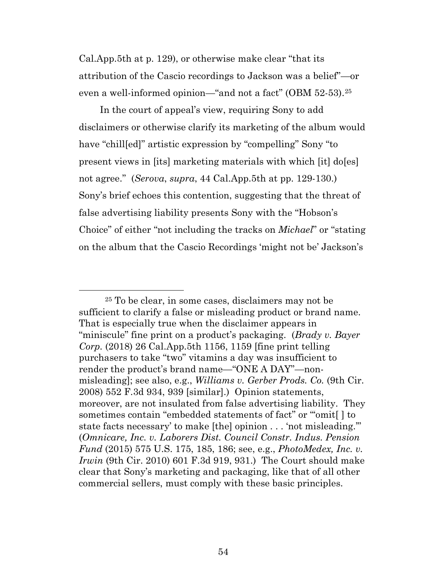Cal.App.5th at p. 129), or otherwise make clear "that its attribution of the Cascio recordings to Jackson was a belief"—or even a well-informed opinion—"and not a fact" (OBM 52-53).<sup>25</sup>

In the court of appeal's view, requiring Sony to add disclaimers or otherwise clarify its marketing of the album would have "chill[ed]" artistic expression by "compelling" Sony "to present views in [its] marketing materials with which [it] do[es] not agree." (*Serova*, *supra*, 44 Cal.App.5th at pp. 129-130.) Sony's brief echoes this contention, suggesting that the threat of false advertising liability presents Sony with the "Hobson's Choice" of either "not including the tracks on *Michael*" or "stating on the album that the Cascio Recordings 'might not be' Jackson's

<span id="page-53-0"></span> <sup>25</sup> To be clear, in some cases, disclaimers may not be sufficient to clarify a false or misleading product or brand name. That is especially true when the disclaimer appears in "miniscule" fine print on a product's packaging. (*Brady v. Bayer Corp.* (2018) 26 Cal.App.5th 1156, 1159 [fine print telling purchasers to take "two" vitamins a day was insufficient to render the product's brand name—"ONE A DAY"—nonmisleading]; see also, e.g., *Williams v. Gerber Prods. Co.* (9th Cir. 2008) 552 F.3d 934, 939 [similar].) Opinion statements, moreover, are not insulated from false advertising liability. They sometimes contain "embedded statements of fact" or "'omit[ ] to state facts necessary' to make [the] opinion . . . 'not misleading.'" (*Omnicare, Inc. v. Laborers Dist. Council Constr. Indus. Pension Fund* (2015) 575 U.S. 175, 185, 186; see, e.g., *PhotoMedex, Inc. v. Irwin* (9th Cir. 2010) 601 F.3d 919, 931.) The Court should make clear that Sony's marketing and packaging, like that of all other commercial sellers, must comply with these basic principles.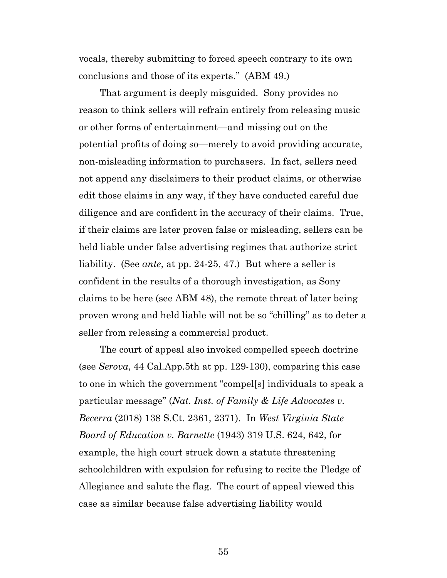vocals, thereby submitting to forced speech contrary to its own conclusions and those of its experts." (ABM 49.)

That argument is deeply misguided. Sony provides no reason to think sellers will refrain entirely from releasing music or other forms of entertainment—and missing out on the potential profits of doing so—merely to avoid providing accurate, non-misleading information to purchasers. In fact, sellers need not append any disclaimers to their product claims, or otherwise edit those claims in any way, if they have conducted careful due diligence and are confident in the accuracy of their claims. True, if their claims are later proven false or misleading, sellers can be held liable under false advertising regimes that authorize strict liability. (See *ante*, at pp. 24-25, 47.) But where a seller is confident in the results of a thorough investigation, as Sony claims to be here (see ABM 48), the remote threat of later being proven wrong and held liable will not be so "chilling" as to deter a seller from releasing a commercial product.

The court of appeal also invoked compelled speech doctrine (see *Serova*, 44 Cal.App.5th at pp. 129-130), comparing this case to one in which the government "compel[s] individuals to speak a particular message" (*Nat. Inst. of Family & Life Advocates v. Becerra* (2018) 138 S.Ct. 2361, 2371). In *West Virginia State Board of Education v. Barnette* (1943) 319 U.S. 624, 642, for example, the high court struck down a statute threatening schoolchildren with expulsion for refusing to recite the Pledge of Allegiance and salute the flag. The court of appeal viewed this case as similar because false advertising liability would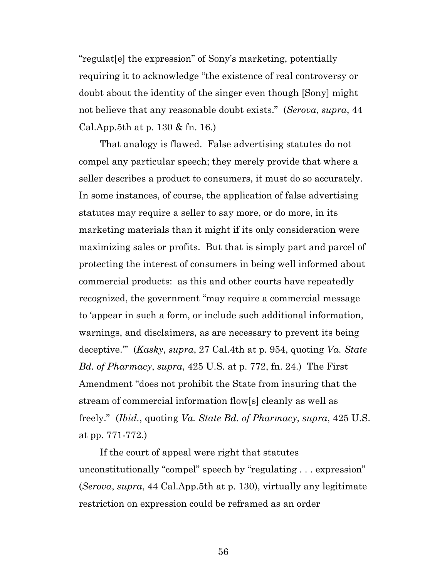"regulat[e] the expression" of Sony's marketing, potentially requiring it to acknowledge "the existence of real controversy or doubt about the identity of the singer even though [Sony] might not believe that any reasonable doubt exists." (*Serova*, *supra*, 44 Cal.App.5th at p. 130 & fn. 16.)

That analogy is flawed. False advertising statutes do not compel any particular speech; they merely provide that where a seller describes a product to consumers, it must do so accurately. In some instances, of course, the application of false advertising statutes may require a seller to say more, or do more, in its marketing materials than it might if its only consideration were maximizing sales or profits. But that is simply part and parcel of protecting the interest of consumers in being well informed about commercial products: as this and other courts have repeatedly recognized, the government "may require a commercial message to 'appear in such a form, or include such additional information, warnings, and disclaimers, as are necessary to prevent its being deceptive.'" (*Kasky*, *supra*, 27 Cal.4th at p. 954, quoting *Va. State Bd. of Pharmacy*, *supra*, 425 U.S. at p. 772, fn. 24.) The First Amendment "does not prohibit the State from insuring that the stream of commercial information flow[s] cleanly as well as freely." (*Ibid.*, quoting *Va. State Bd. of Pharmacy*, *supra*, 425 U.S. at pp. 771-772.)

If the court of appeal were right that statutes unconstitutionally "compel" speech by "regulating . . . expression" (*Serova*, *supra*, 44 Cal.App.5th at p. 130), virtually any legitimate restriction on expression could be reframed as an order

56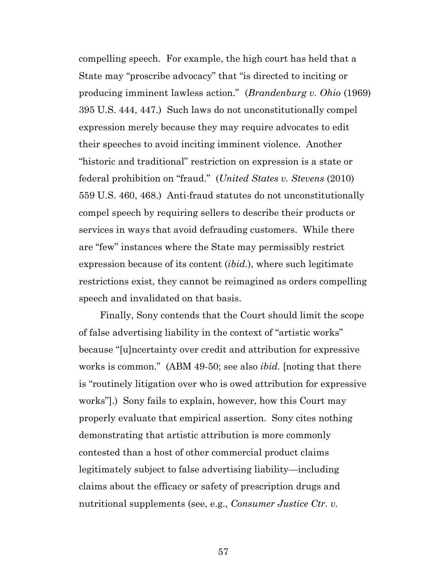compelling speech. For example, the high court has held that a State may "proscribe advocacy" that "is directed to inciting or producing imminent lawless action." (*Brandenburg v. Ohio* (1969) 395 U.S. 444, 447.) Such laws do not unconstitutionally compel expression merely because they may require advocates to edit their speeches to avoid inciting imminent violence. Another "historic and traditional" restriction on expression is a state or federal prohibition on "fraud." (*United States v. Stevens* (2010) 559 U.S. 460, 468.) Anti-fraud statutes do not unconstitutionally compel speech by requiring sellers to describe their products or services in ways that avoid defrauding customers. While there are "few" instances where the State may permissibly restrict expression because of its content (*ibid.*), where such legitimate restrictions exist, they cannot be reimagined as orders compelling speech and invalidated on that basis.

Finally, Sony contends that the Court should limit the scope of false advertising liability in the context of "artistic works" because "[u]ncertainty over credit and attribution for expressive works is common." (ABM 49-50; see also *ibid.* [noting that there is "routinely litigation over who is owed attribution for expressive works"].) Sony fails to explain, however, how this Court may properly evaluate that empirical assertion. Sony cites nothing demonstrating that artistic attribution is more commonly contested than a host of other commercial product claims legitimately subject to false advertising liability—including claims about the efficacy or safety of prescription drugs and nutritional supplements (see, e.g., *Consumer Justice Ctr. v.* 

57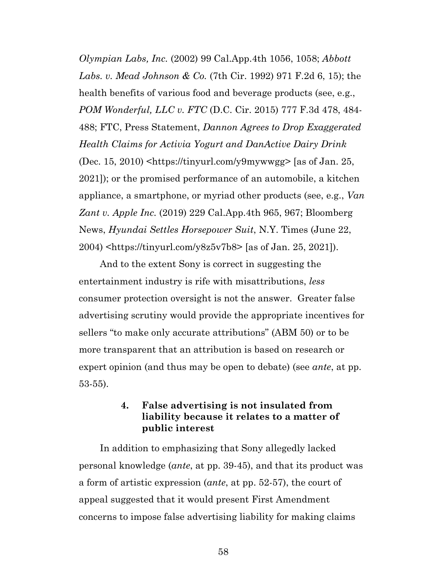*Olympian Labs, Inc.* (2002) 99 Cal.App.4th 1056, 1058; *Abbott Labs. v. Mead Johnson & Co.* (7th Cir. 1992) 971 F.2d 6, 15); the health benefits of various food and beverage products (see, e.g., *POM Wonderful, LLC v. FTC* (D.C. Cir. 2015) 777 F.3d 478, 484- 488; FTC, Press Statement, *Dannon Agrees to Drop Exaggerated Health Claims for Activia Yogurt and DanActive Dairy Drink* (Dec. 15, 2010)  $\hbox{thtps://tinyurl.com/y9mywwgg>}$  [as of Jan. 25, 2021]); or the promised performance of an automobile, a kitchen appliance, a smartphone, or myriad other products (see, e.g., *Van Zant v. Apple Inc.* (2019) 229 Cal.App.4th 965, 967; Bloomberg News, *Hyundai Settles Horsepower Suit*, N.Y. Times (June 22, 2004) <https://tinyurl.com/y8z5v7b8> [as of Jan. 25, 2021]).

And to the extent Sony is correct in suggesting the entertainment industry is rife with misattributions, *less* consumer protection oversight is not the answer. Greater false advertising scrutiny would provide the appropriate incentives for sellers "to make only accurate attributions" (ABM 50) or to be more transparent that an attribution is based on research or expert opinion (and thus may be open to debate) (see *ante*, at pp. 53-55).

### **4. False advertising is not insulated from liability because it relates to a matter of public interest**

In addition to emphasizing that Sony allegedly lacked personal knowledge (*ante*, at pp. 39-45), and that its product was a form of artistic expression (*ante*, at pp. 52-57), the court of appeal suggested that it would present First Amendment concerns to impose false advertising liability for making claims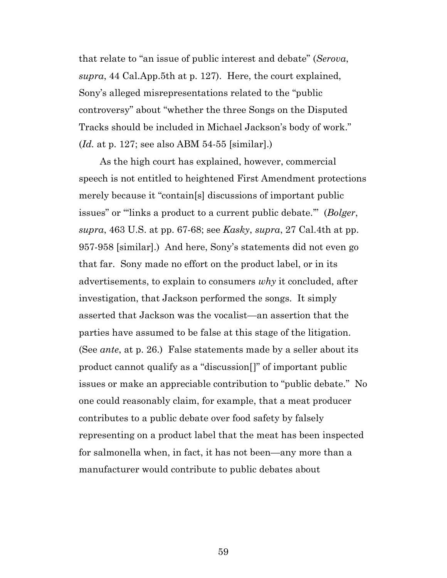that relate to "an issue of public interest and debate" (*Serova*, *supra*, 44 Cal.App.5th at p. 127). Here, the court explained, Sony's alleged misrepresentations related to the "public controversy" about "whether the three Songs on the Disputed Tracks should be included in Michael Jackson's body of work." (*Id.* at p. 127; see also ABM 54-55 [similar].)

As the high court has explained, however, commercial speech is not entitled to heightened First Amendment protections merely because it "contain[s] discussions of important public issues" or "'links a product to a current public debate.'" (*Bolger*, *supra*, 463 U.S. at pp. 67-68; see *Kasky*, *supra*, 27 Cal.4th at pp. 957-958 [similar].) And here, Sony's statements did not even go that far. Sony made no effort on the product label, or in its advertisements, to explain to consumers *why* it concluded, after investigation, that Jackson performed the songs. It simply asserted that Jackson was the vocalist—an assertion that the parties have assumed to be false at this stage of the litigation. (See *ante*, at p. 26.) False statements made by a seller about its product cannot qualify as a "discussion[]" of important public issues or make an appreciable contribution to "public debate." No one could reasonably claim, for example, that a meat producer contributes to a public debate over food safety by falsely representing on a product label that the meat has been inspected for salmonella when, in fact, it has not been—any more than a manufacturer would contribute to public debates about

59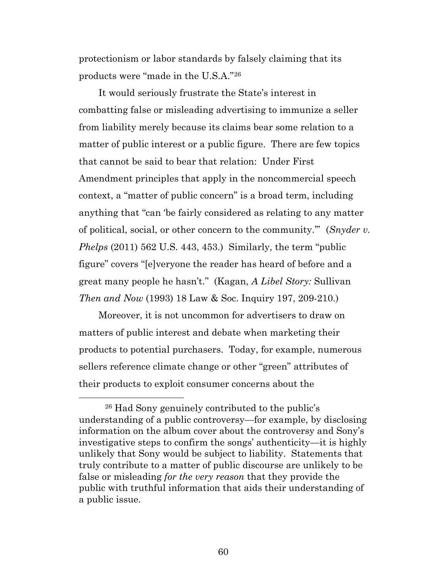protectionism or labor standards by falsely claiming that its products were "made in the U.S.A."[26](#page-59-0)

It would seriously frustrate the State's interest in combatting false or misleading advertising to immunize a seller from liability merely because its claims bear some relation to a matter of public interest or a public figure. There are few topics that cannot be said to bear that relation: Under First Amendment principles that apply in the noncommercial speech context, a "matter of public concern" is a broad term, including anything that "can 'be fairly considered as relating to any matter of political, social, or other concern to the community.'" (*Snyder v. Phelps* (2011) 562 U.S. 443, 453.) Similarly, the term "public figure" covers "[e]veryone the reader has heard of before and a great many people he hasn't." (Kagan, *A Libel Story:* Sullivan *Then and Now* (1993) 18 Law & Soc. Inquiry 197, 209-210.)

Moreover, it is not uncommon for advertisers to draw on matters of public interest and debate when marketing their products to potential purchasers. Today, for example, numerous sellers reference climate change or other "green" attributes of their products to exploit consumer concerns about the

<span id="page-59-0"></span> <sup>26</sup> Had Sony genuinely contributed to the public's understanding of a public controversy—for example, by disclosing information on the album cover about the controversy and Sony's investigative steps to confirm the songs' authenticity—it is highly unlikely that Sony would be subject to liability. Statements that truly contribute to a matter of public discourse are unlikely to be false or misleading *for the very reason* that they provide the public with truthful information that aids their understanding of a public issue.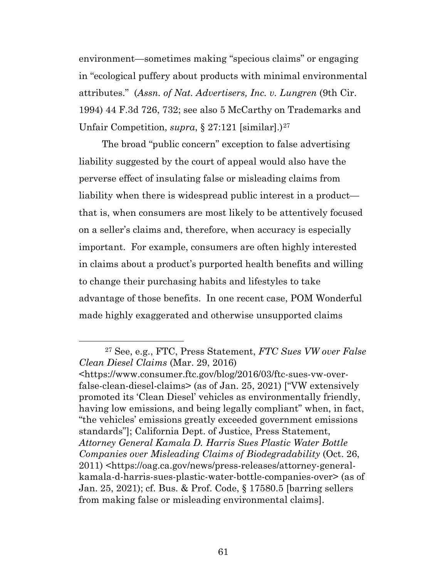environment—sometimes making "specious claims" or engaging in "ecological puffery about products with minimal environmental attributes." (*Assn. of Nat. Advertisers, Inc. v. Lungren* (9th Cir. 1994) 44 F.3d 726, 732; see also 5 McCarthy on Trademarks and Unfair Competition, *supra*, § [27](#page-60-0):121 [similar].)<sup>27</sup>

The broad "public concern" exception to false advertising liability suggested by the court of appeal would also have the perverse effect of insulating false or misleading claims from liability when there is widespread public interest in a product that is, when consumers are most likely to be attentively focused on a seller's claims and, therefore, when accuracy is especially important. For example, consumers are often highly interested in claims about a product's purported health benefits and willing to change their purchasing habits and lifestyles to take advantage of those benefits. In one recent case, POM Wonderful made highly exaggerated and otherwise unsupported claims

<span id="page-60-0"></span> <sup>27</sup> See, e.g., FTC, Press Statement, *FTC Sues VW over False Clean Diesel Claims* (Mar. 29, 2016)

<sup>&</sup>lt;https://www.consumer.ftc.gov/blog/2016/03/ftc-sues-vw-overfalse-clean-diesel-claims> (as of Jan. 25, 2021) ["VW extensively promoted its 'Clean Diesel' vehicles as environmentally friendly, having low emissions, and being legally compliant" when, in fact, "the vehicles' emissions greatly exceeded government emissions standards"]; California Dept. of Justice, Press Statement, *Attorney General Kamala D. Harris Sues Plastic Water Bottle Companies over Misleading Claims of Biodegradability* (Oct. 26, 2011) <https://oag.ca.gov/news/press-releases/attorney-generalkamala-d-harris-sues-plastic-water-bottle-companies-over> (as of Jan. 25, 2021); cf. Bus. & Prof. Code, § 17580.5 [barring sellers from making false or misleading environmental claims].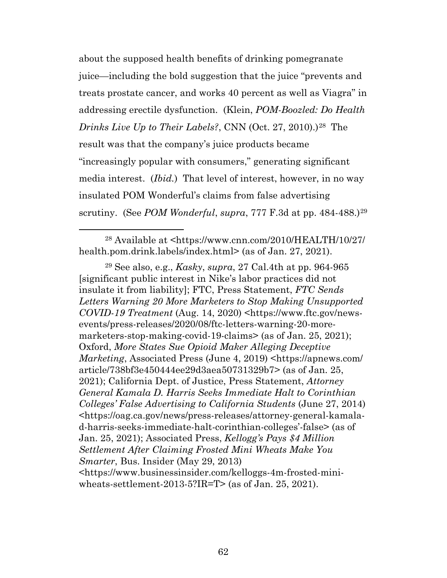about the supposed health benefits of drinking pomegranate juice—including the bold suggestion that the juice "prevents and treats prostate cancer, and works 40 percent as well as Viagra" in addressing erectile dysfunction. (Klein, *POM-Boozled: Do Health Drinks Live Up to Their Labels?*, CNN (Oct. 27, 2010).)<sup>[28](#page-61-0)</sup> The result was that the company's juice products became "increasingly popular with consumers," generating significant media interest. (*Ibid.*) That level of interest, however, in no way insulated POM Wonderful's claims from false advertising scrutiny. (See *POM Wonderful*, *supra*, 777 F.3d at pp. 484-488.)<sup>[29](#page-61-1)</sup>

<span id="page-61-1"></span><sup>29</sup> See also, e.g., *Kasky*, *supra*, 27 Cal.4th at pp. 964-965 [significant public interest in Nike's labor practices did not insulate it from liability]; FTC, Press Statement, *FTC Sends Letters Warning 20 More Marketers to Stop Making Unsupported COVID-19 Treatment* (Aug. 14, 2020) <https://www.ftc.gov/newsevents/press-releases/2020/08/ftc-letters-warning-20-moremarketers-stop-making-covid-19-claims> (as of Jan. 25, 2021); Oxford, *More States Sue Opioid Maker Alleging Deceptive Marketing*, Associated Press (June 4, 2019) <https://apnews.com/ article/738bf3e450444ee29d3aea50731329b7> (as of Jan. 25, 2021); California Dept. of Justice, Press Statement, *Attorney General Kamala D. Harris Seeks Immediate Halt to Corinthian Colleges' False Advertising to California Students* (June 27, 2014) <https://oag.ca.gov/news/press-releases/attorney-general-kamalad-harris-seeks-immediate-halt-corinthian-colleges'-false> (as of Jan. 25, 2021); Associated Press, *Kellogg's Pays \$4 Million Settlement After Claiming Frosted Mini Wheats Make You Smarter*, Bus. Insider (May 29, 2013) <https://www.businessinsider.com/kelloggs-4m-frosted-miniwheats-settlement-2013-5?IR=T> (as of Jan. 25, 2021).

<span id="page-61-0"></span> <sup>28</sup> Available at <https://www.cnn.com/2010/HEALTH/10/27/ health.pom.drink.labels/index.html> (as of Jan. 27, 2021).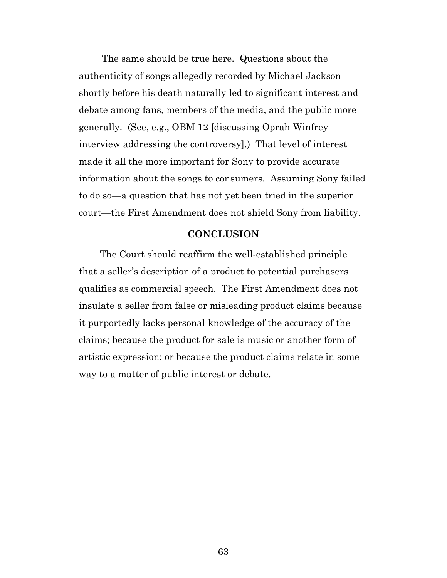The same should be true here. Questions about the authenticity of songs allegedly recorded by Michael Jackson shortly before his death naturally led to significant interest and debate among fans, members of the media, and the public more generally. (See, e.g., OBM 12 [discussing Oprah Winfrey interview addressing the controversy].) That level of interest made it all the more important for Sony to provide accurate information about the songs to consumers. Assuming Sony failed to do so—a question that has not yet been tried in the superior court—the First Amendment does not shield Sony from liability.

#### **CONCLUSION**

The Court should reaffirm the well-established principle that a seller's description of a product to potential purchasers qualifies as commercial speech. The First Amendment does not insulate a seller from false or misleading product claims because it purportedly lacks personal knowledge of the accuracy of the claims; because the product for sale is music or another form of artistic expression; or because the product claims relate in some way to a matter of public interest or debate.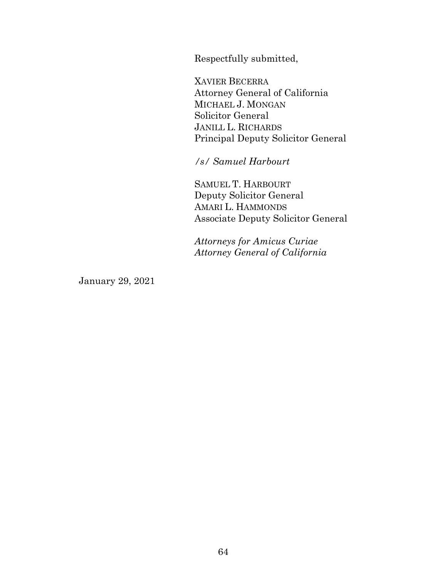Respectfully submitted,

XAVIER BECERRA Attorney General of California MICHAEL J. MONGAN Solicitor General JANILL L. RICHARDS Principal Deputy Solicitor General

*/s/ Samuel Harbourt*

SAMUEL T. HARBOURT Deputy Solicitor General AMARI L. HAMMONDS Associate Deputy Solicitor General

*Attorneys for Amicus Curiae Attorney General of California*

January 29, 2021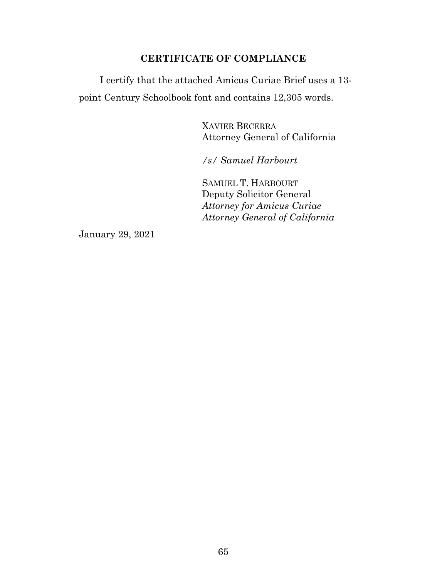### **CERTIFICATE OF COMPLIANCE**

I certify that the attached Amicus Curiae Brief uses a 13 point Century Schoolbook font and contains 12,305 words.

> XAVIER BECERRA Attorney General of California

*/s/ Samuel Harbourt*

SAMUEL T. HARBOURT Deputy Solicitor General *Attorney for Amicus Curiae Attorney General of California*

January 29, 2021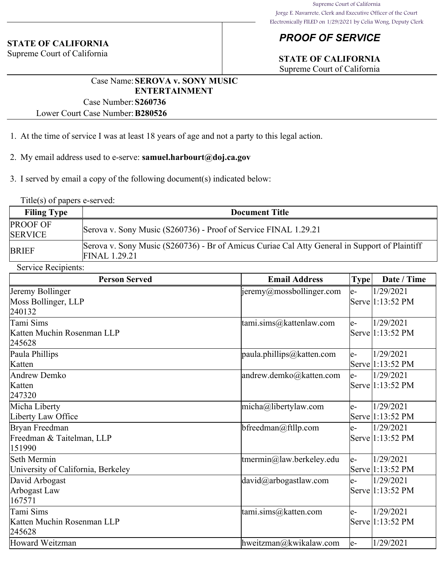#### **STATE OF CALIFORNIA**

Supreme Court of California

## *PROOF OF SERVICE*

# **STATE OF CALIFORNIA**

Supreme Court of California

### Case Name:**SEROVA v. SONY MUSIC ENTERTAINMENT**

Case Number:**S260736**

Lower Court Case Number:**B280526**

- 1. At the time of service I was at least 18 years of age and not a party to this legal action.
- 2. My email address used to e-serve: **samuel.harbourt@doj.ca.gov**

3. I served by email a copy of the following document(s) indicated below:

Title(s) of papers e-served:

| <b>Filing Type</b>                | <b>Document Title</b>                                                                                                 |
|-----------------------------------|-----------------------------------------------------------------------------------------------------------------------|
| <b>PROOF OF</b><br><b>SERVICE</b> | Serova v. Sony Music (S260736) - Proof of Service FINAL 1.29.21                                                       |
| <b>BRIEF</b>                      | Serova v. Sony Music (S260736) - Br of Amicus Curiae Cal Atty General in Support of Plaintiff<br><b>FINAL 1.29.21</b> |

Service Recipients:

| <b>Det vier ittelprents.</b>       |                                                  |                 |                  |
|------------------------------------|--------------------------------------------------|-----------------|------------------|
| <b>Person Served</b>               | <b>Email Address</b>                             | $\mathbf{Type}$ | Date / Time      |
| Jeremy Bollinger                   | $\left  \text{jeremy@mossbollinger.com} \right $ | le-             | 1/29/2021        |
| Moss Bollinger, LLP                |                                                  |                 | Serve 1:13:52 PM |
| 240132                             |                                                  |                 |                  |
| Tami Sims                          | tami.sims@kattenlaw.com                          | le-             | 1/29/2021        |
| Katten Muchin Rosenman LLP         |                                                  |                 | Serve 1:13:52 PM |
| 245628                             |                                                  |                 |                  |
| Paula Phillips                     | $ $ paula.phillips@katten.com                    | le-             | 1/29/2021        |
| Katten                             |                                                  |                 | Serve 1:13:52 PM |
| Andrew Demko                       | andrew.demko@katten.com                          | le-             | 1/29/2021        |
| Katten                             |                                                  |                 | Serve 1:13:52 PM |
| 247320                             |                                                  |                 |                  |
| Micha Liberty                      | $ $ micha@libertylaw.com                         | le-             | 1/29/2021        |
| Liberty Law Office                 |                                                  |                 | Serve 1:13:52 PM |
| Bryan Freedman                     | $b$ freedman@ftllp.com                           | le-             | 1/29/2021        |
| Freedman & Taitelman, LLP          |                                                  |                 | Serve 1:13:52 PM |
| 151990                             |                                                  |                 |                  |
| Seth Mermin                        | tmermin@law.berkeley.edu                         | le-             | 1/29/2021        |
| University of California, Berkeley |                                                  |                 | Serve 1:13:52 PM |
| David Arbogast                     | david@arbogastlaw.com                            | le-             | 1/29/2021        |
| Arbogast Law                       |                                                  |                 | Serve 1:13:52 PM |
| 167571                             |                                                  |                 |                  |
| Tami Sims                          | tami.sims@katten.com                             | le-             | 1/29/2021        |
| Katten Muchin Rosenman LLP         |                                                  |                 | Serve 1:13:52 PM |
| 245628                             |                                                  |                 |                  |
| Howard Weitzman                    | hweitzman@kwikalaw.com                           | $ e-$           | 1/29/2021        |